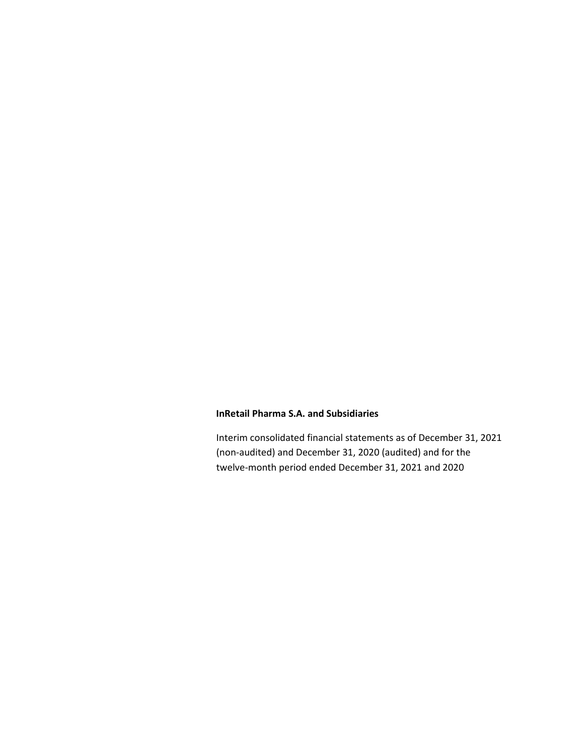Interim consolidated financial statements as of December 31, 2021 (non-audited) and December 31, 2020 (audited) and for the twelve-month period ended December 31, 2021 and 2020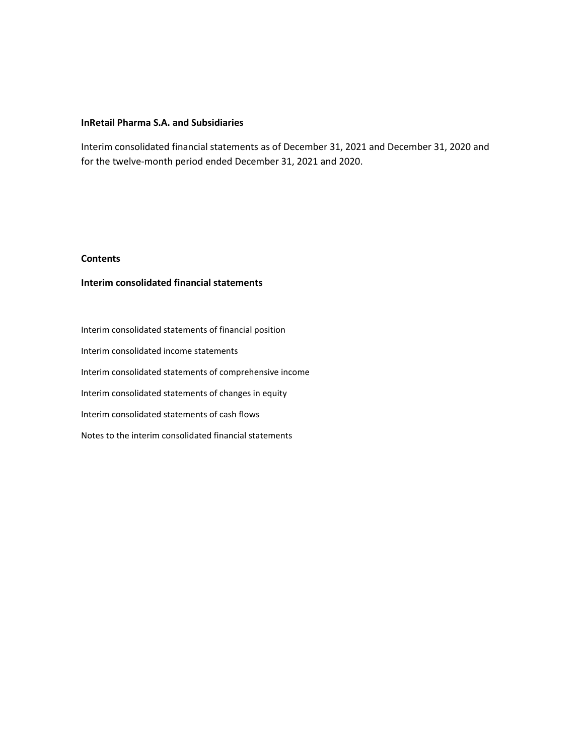Interim consolidated financial statements as of December 31, 2021 and December 31, 2020 and for the twelve-month period ended December 31, 2021 and 2020.

# **Contents**

# **Interim consolidated financial statements**

Interim consolidated statements of financial position Interim consolidated income statements Interim consolidated statements of comprehensive income Interim consolidated statements of changes in equity Interim consolidated statements of cash flows Notes to the interim consolidated financial statements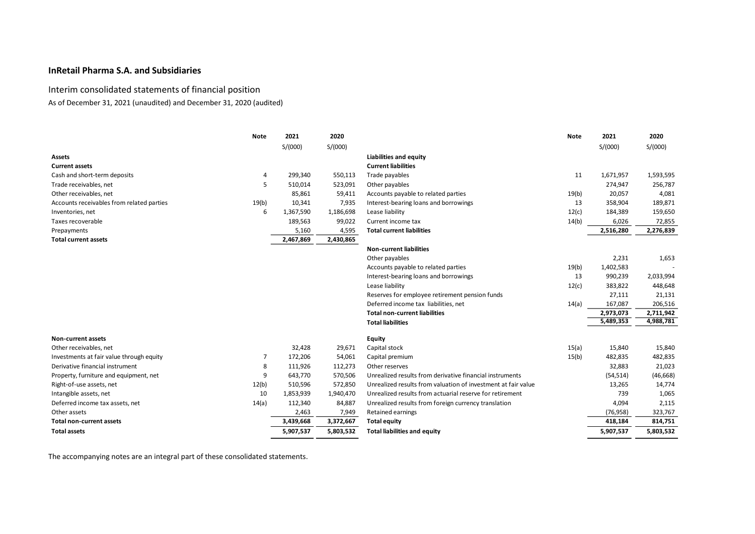# Interim consolidated statements of financial position

As of December 31, 2021 (unaudited) and December 31, 2020 (audited)

|                                           | <b>Note</b> | 2021      | 2020      |                                                               | <b>Note</b> | 2021      | 2020      |
|-------------------------------------------|-------------|-----------|-----------|---------------------------------------------------------------|-------------|-----------|-----------|
|                                           |             | S/(000)   | S/(000)   |                                                               |             | S/(000)   | S/(000)   |
| Assets                                    |             |           |           | <b>Liabilities and equity</b>                                 |             |           |           |
| <b>Current assets</b>                     |             |           |           | <b>Current liabilities</b>                                    |             |           |           |
| Cash and short-term deposits              | 4           | 299,340   | 550,113   | Trade payables                                                | 11          | 1,671,957 | 1,593,595 |
| Trade receivables, net                    | 5           | 510,014   | 523,091   | Other payables                                                |             | 274,947   | 256,787   |
| Other receivables, net                    |             | 85,861    | 59,411    | Accounts payable to related parties                           | 19(b)       | 20,057    | 4,081     |
| Accounts receivables from related parties | 19(b)       | 10,341    | 7,935     | Interest-bearing loans and borrowings                         | 13          | 358,904   | 189,871   |
| Inventories, net                          | 6           | 1,367,590 | 1,186,698 | Lease liability                                               | 12(c)       | 184,389   | 159,650   |
| Taxes recoverable                         |             | 189,563   | 99,022    | Current income tax                                            | 14(b)       | 6,026     | 72,855    |
| Prepayments                               |             | 5,160     | 4,595     | <b>Total current liabilities</b>                              |             | 2,516,280 | 2,276,839 |
| <b>Total current assets</b>               |             | 2,467,869 | 2,430,865 |                                                               |             |           |           |
|                                           |             |           |           | <b>Non-current liabilities</b>                                |             |           |           |
|                                           |             |           |           | Other payables                                                |             | 2,231     | 1,653     |
|                                           |             |           |           | Accounts payable to related parties                           | 19(b)       | 1,402,583 |           |
|                                           |             |           |           | Interest-bearing loans and borrowings                         | 13          | 990,239   | 2,033,994 |
|                                           |             |           |           | Lease liability                                               | 12(c)       | 383,822   | 448,648   |
|                                           |             |           |           | Reserves for employee retirement pension funds                |             | 27,111    | 21,131    |
|                                           |             |           |           | Deferred income tax liabilities, net                          | 14(a)       | 167,087   | 206,516   |
|                                           |             |           |           | <b>Total non-current liabilities</b>                          |             | 2,973,073 | 2,711,942 |
|                                           |             |           |           | <b>Total liabilities</b>                                      |             | 5,489,353 | 4,988,781 |
| <b>Non-current assets</b>                 |             |           |           | <b>Equity</b>                                                 |             |           |           |
| Other receivables, net                    |             | 32,428    | 29,671    | Capital stock                                                 | 15(a)       | 15,840    | 15,840    |
| Investments at fair value through equity  | 7           | 172,206   | 54,061    | Capital premium                                               | 15(b)       | 482,835   | 482,835   |
| Derivative financial instrument           | 8           | 111,926   | 112,273   | Other reserves                                                |             | 32,883    | 21,023    |
| Property, furniture and equipment, net    | 9           | 643,770   | 570,506   | Unrealized results from derivative financial instruments      |             | (54, 514) | (46, 668) |
| Right-of-use assets, net                  | 12(b)       | 510,596   | 572,850   | Unrealized results from valuation of investment at fair value |             | 13,265    | 14,774    |
| Intangible assets, net                    | 10          | 1,853,939 | 1,940,470 | Unrealized results from actuarial reserve for retirement      |             | 739       | 1,065     |
| Deferred income tax assets, net           | 14(a)       | 112,340   | 84,887    | Unrealized results from foreign currency translation          |             | 4,094     | 2,115     |
| Other assets                              |             | 2,463     | 7,949     | Retained earnings                                             |             | (76, 958) | 323,767   |
| <b>Total non-current assets</b>           |             | 3,439,668 | 3,372,667 | <b>Total equity</b>                                           |             | 418,184   | 814,751   |
| <b>Total assets</b>                       |             | 5,907,537 | 5,803,532 | <b>Total liabilities and equity</b>                           |             | 5,907,537 | 5,803,532 |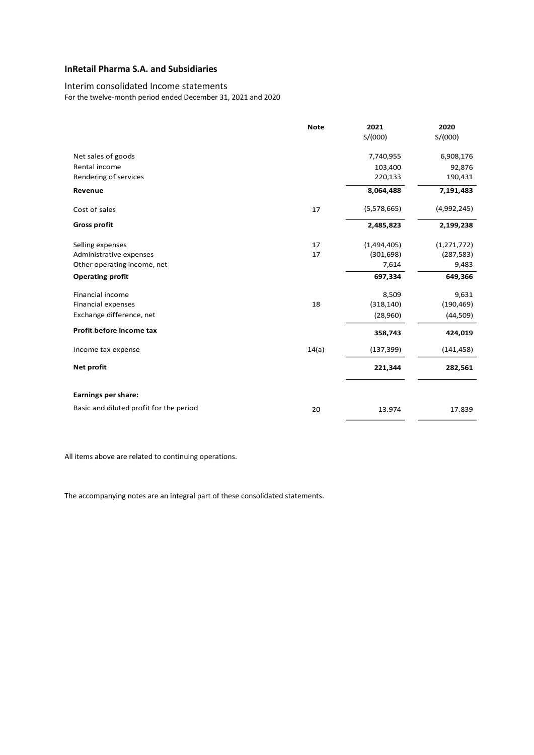# Interim consolidated Income statements

For the twelve-month period ended December 31, 2021 and 2020

|                                         | <b>Note</b> | 2021        | 2020          |
|-----------------------------------------|-------------|-------------|---------------|
|                                         |             | S/(000)     | S/(000)       |
| Net sales of goods                      |             | 7,740,955   | 6,908,176     |
| Rental income                           |             | 103,400     | 92,876        |
| Rendering of services                   |             | 220,133     | 190,431       |
| Revenue                                 |             | 8,064,488   | 7,191,483     |
| Cost of sales                           | 17          | (5,578,665) | (4,992,245)   |
| <b>Gross profit</b>                     |             | 2,485,823   | 2,199,238     |
| Selling expenses                        | 17          | (1,494,405) | (1, 271, 772) |
| Administrative expenses                 | 17          | (301, 698)  | (287, 583)    |
| Other operating income, net             |             | 7,614       | 9,483         |
| <b>Operating profit</b>                 |             | 697,334     | 649,366       |
| Financial income                        |             | 8,509       | 9,631         |
| <b>Financial expenses</b>               | 18          | (318, 140)  | (190, 469)    |
| Exchange difference, net                |             | (28,960)    | (44, 509)     |
| Profit before income tax                |             | 358,743     | 424,019       |
| Income tax expense                      | 14(a)       | (137, 399)  | (141, 458)    |
| Net profit                              |             | 221,344     | 282,561       |
| Earnings per share:                     |             |             |               |
| Basic and diluted profit for the period | 20          | 13.974      | 17.839        |

All items above are related to continuing operations.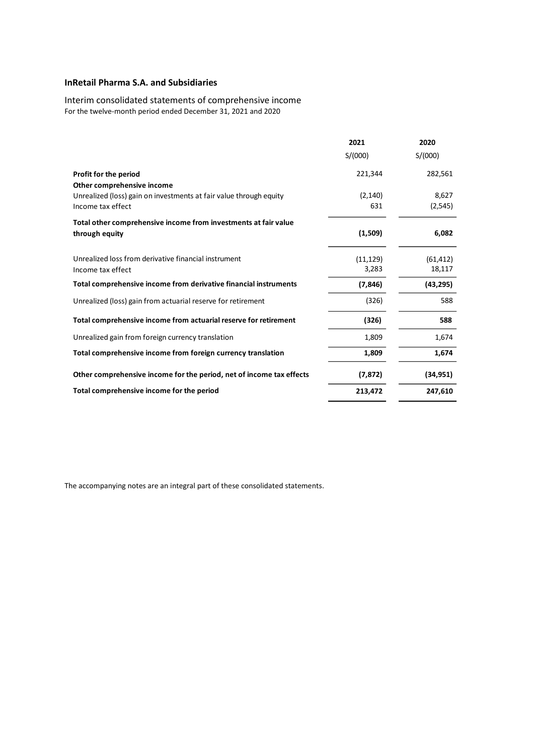Interim consolidated statements of comprehensive income For the twelve-month period ended December 31, 2021 and 2020

|                                                                      | 2021      | 2020      |
|----------------------------------------------------------------------|-----------|-----------|
|                                                                      | S/(000)   | S/(000)   |
| Profit for the period                                                | 221,344   | 282,561   |
| Other comprehensive income                                           |           |           |
| Unrealized (loss) gain on investments at fair value through equity   | (2, 140)  | 8,627     |
| Income tax effect                                                    | 631       | (2,545)   |
| Total other comprehensive income from investments at fair value      |           |           |
| through equity                                                       | (1,509)   | 6,082     |
| Unrealized loss from derivative financial instrument                 | (11, 129) | (61, 412) |
| Income tax effect                                                    | 3,283     | 18,117    |
| Total comprehensive income from derivative financial instruments     | (7, 846)  | (43, 295) |
| Unrealized (loss) gain from actuarial reserve for retirement         | (326)     | 588       |
| Total comprehensive income from actuarial reserve for retirement     | (326)     | 588       |
| Unrealized gain from foreign currency translation                    | 1,809     | 1,674     |
| Total comprehensive income from foreign currency translation         | 1,809     | 1,674     |
| Other comprehensive income for the period, net of income tax effects | (7, 872)  | (34, 951) |
| Total comprehensive income for the period                            | 213,472   | 247,610   |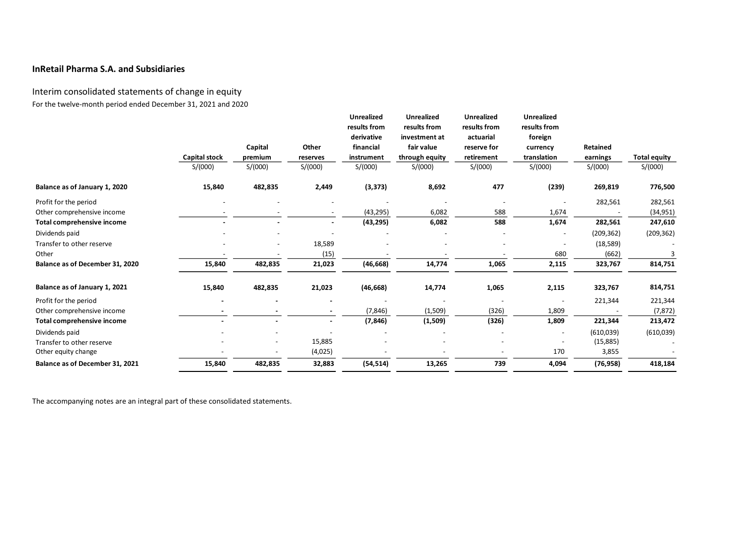# Interim consolidated statements of change in equity For the twelve-month period ended December 31, 2021 and 2020

|                                 |                      |         |                          | <b>Unrealized</b><br>results from<br>derivative | <b>Unrealized</b><br>results from<br>investment at | <b>Unrealized</b><br>results from<br>actuarial | <b>Unrealized</b><br>results from<br>foreign |                 |                     |
|---------------------------------|----------------------|---------|--------------------------|-------------------------------------------------|----------------------------------------------------|------------------------------------------------|----------------------------------------------|-----------------|---------------------|
|                                 |                      | Capital | Other                    | financial                                       | fair value                                         | reserve for                                    | currency                                     | <b>Retained</b> |                     |
|                                 | <b>Capital stock</b> | premium | reserves                 | instrument                                      | through equity                                     | retirement                                     | translation                                  | earnings        | <b>Total equity</b> |
|                                 | S/(000)              | S/(000) | S/(000)                  | S/(000)                                         | S/(000)                                            | S/(000)                                        | S/(000)                                      | S/(000)         | S/(000)             |
| Balance as of January 1, 2020   | 15,840               | 482,835 | 2,449                    | (3, 373)                                        | 8,692                                              | 477                                            | (239)                                        | 269,819         | 776,500             |
| Profit for the period           |                      |         |                          |                                                 |                                                    |                                                |                                              | 282,561         | 282,561             |
| Other comprehensive income      |                      |         |                          | (43, 295)                                       | 6,082                                              | 588                                            | 1,674                                        |                 | (34, 951)           |
| Total comprehensive income      |                      |         |                          | (43, 295)                                       | 6,082                                              | 588                                            | 1,674                                        | 282,561         | 247,610             |
| Dividends paid                  |                      |         |                          |                                                 |                                                    |                                                |                                              | (209, 362)      | (209, 362)          |
| Transfer to other reserve       |                      |         | 18,589                   |                                                 |                                                    |                                                |                                              | (18, 589)       |                     |
| Other                           |                      |         | (15)                     |                                                 |                                                    |                                                | 680                                          | (662)           |                     |
| Balance as of December 31, 2020 | 15,840               | 482,835 | 21,023                   | (46, 668)                                       | 14,774                                             | 1,065                                          | 2,115                                        | 323,767         | 814,751             |
| Balance as of January 1, 2021   | 15,840               | 482,835 | 21,023                   | (46, 668)                                       | 14,774                                             | 1,065                                          | 2,115                                        | 323,767         | 814,751             |
| Profit for the period           |                      |         |                          |                                                 |                                                    |                                                |                                              | 221,344         | 221,344             |
| Other comprehensive income      |                      |         | $\overline{\phantom{a}}$ | (7, 846)                                        | (1,509)                                            | (326)                                          | 1,809                                        |                 | (7, 872)            |
| Total comprehensive income      |                      |         | $\overline{\phantom{a}}$ | (7, 846)                                        | (1,509)                                            | (326)                                          | 1,809                                        | 221,344         | 213,472             |
| Dividends paid                  |                      |         |                          |                                                 |                                                    |                                                | $\overline{\phantom{a}}$                     | (610, 039)      | (610, 039)          |
| Transfer to other reserve       |                      |         | 15,885                   |                                                 |                                                    |                                                |                                              | (15, 885)       |                     |
| Other equity change             |                      |         | (4,025)                  |                                                 |                                                    |                                                | 170                                          | 3,855           |                     |
| Balance as of December 31, 2021 | 15,840               | 482,835 | 32,883                   | (54, 514)                                       | 13,265                                             | 739                                            | 4,094                                        | (76, 958)       | 418,184             |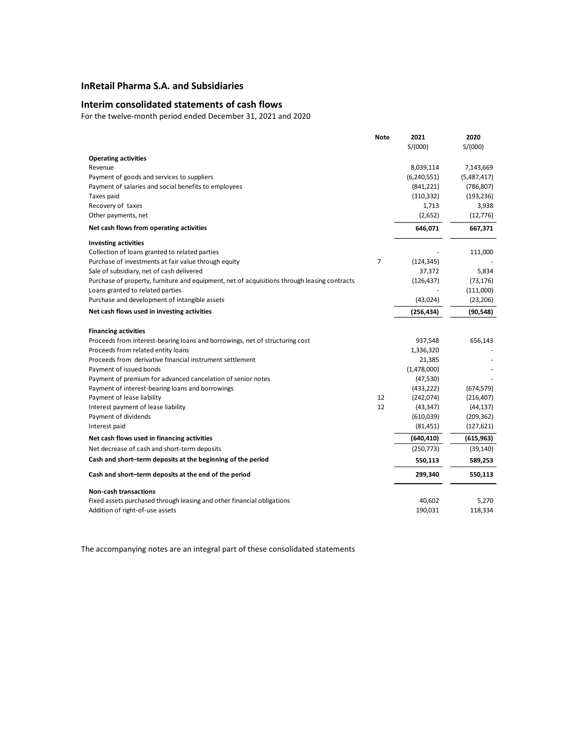## **Interim consolidated statements of cash flows**

For the twelve-month period ended December 31, 2021 and 2020

|                                                                                              | Note           | 2021        | 2020        |
|----------------------------------------------------------------------------------------------|----------------|-------------|-------------|
|                                                                                              |                | S/(000)     | S/(000)     |
| <b>Operating activities</b>                                                                  |                |             |             |
| Revenue                                                                                      |                | 8,039,114   | 7,143,669   |
| Payment of goods and services to suppliers                                                   |                | (6,240,551) | (5,487,417) |
| Payment of salaries and social benefits to employees                                         |                | (841, 221)  | (786, 807)  |
| Taxes paid                                                                                   |                | (310, 332)  | (193, 236)  |
| Recovery of taxes                                                                            |                | 1,713       | 3,938       |
| Other payments, net                                                                          |                | (2,652)     | (12, 776)   |
| Net cash flows from operating activities                                                     |                | 646,071     | 667,371     |
| <b>Investing activities</b>                                                                  |                |             |             |
| Collection of loans granted to related parties                                               |                |             | 111,000     |
| Purchase of investments at fair value through equity                                         | $\overline{7}$ | (124, 345)  |             |
| Sale of subsidiary, net of cash delivered                                                    |                | 37,372      | 5,834       |
| Purchase of property, furniture and equipment, net of acquisitions through leasing contracts |                | (126, 437)  | (73, 176)   |
| Loans granted to related parties                                                             |                |             | (111,000)   |
| Purchase and development of intangible assets                                                |                | (43, 024)   | (23, 206)   |
| Net cash flows used in investing activities                                                  |                | (256, 434)  | (90, 548)   |
| <b>Financing activities</b>                                                                  |                |             |             |
| Proceeds from interest-bearing loans and borrowings, net of structuring cost                 |                | 937,548     | 656,143     |
| Proceeds from related entity loans                                                           |                | 1,336,320   |             |
| Proceeds from derivative financial instrument settlement                                     |                | 21,385      |             |
| Payment of issued bonds                                                                      |                | (1,478,000) |             |
| Payment of premium for advanced cancelation of senior notes                                  |                | (47, 530)   |             |
| Payment of interest-bearing loans and borrowings                                             |                | (433, 222)  | (674, 579)  |
| Payment of lease liability                                                                   | 12             | (242, 074)  | (216, 407)  |
| Interest payment of lease liability                                                          | 12             | (43, 347)   | (44, 137)   |
| Payment of dividends                                                                         |                | (610, 039)  | (209, 362)  |
| Interest paid                                                                                |                | (81, 451)   | (127, 621)  |
| Net cash flows used in financing activities                                                  |                | (640, 410)  | (615, 963)  |
| Net decrease of cash and short-term deposits                                                 |                | (250, 773)  | (39, 140)   |
| Cash and short-term deposits at the beginning of the period                                  |                | 550,113     | 589,253     |
| Cash and short-term deposits at the end of the period                                        |                | 299,340     | 550,113     |
| <b>Non-cash transactions</b>                                                                 |                |             |             |
| Fixed assets purchased through leasing and other financial obligations                       |                | 40,602      | 5,270       |
| Addition of right-of-use assets                                                              |                | 190,031     | 118,334     |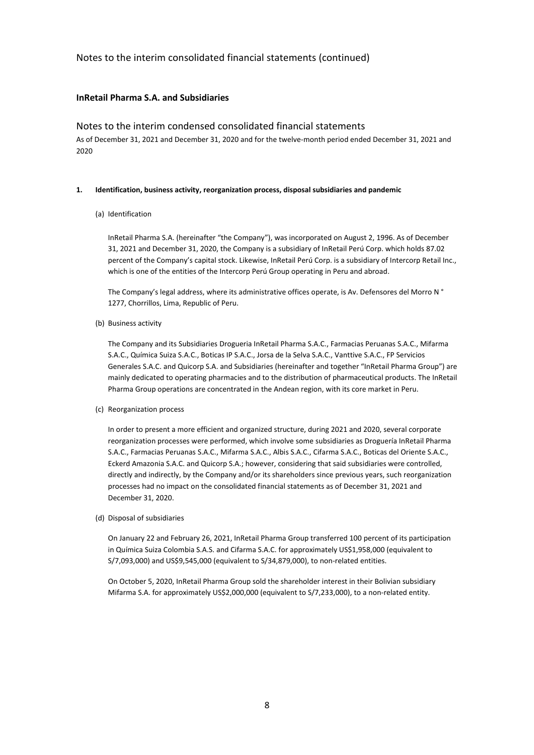# **InRetail Pharma S.A. and Subsidiaries**

# Notes to the interim condensed consolidated financial statements

As of December 31, 2021 and December 31, 2020 and for the twelve-month period ended December 31, 2021 and 2020

#### **1. Identification, business activity, reorganization process, disposal subsidiaries and pandemic**

#### (a) Identification

InRetail Pharma S.A. (hereinafter "the Company"), was incorporated on August 2, 1996. As of December 31, 2021 and December 31, 2020, the Company is a subsidiary of InRetail Perú Corp. which holds 87.02 percent of the Company's capital stock. Likewise, InRetail Perú Corp. is a subsidiary of Intercorp Retail Inc., which is one of the entities of the Intercorp Perú Group operating in Peru and abroad.

The Company's legal address, where its administrative offices operate, is Av. Defensores del Morro N ° 1277, Chorrillos, Lima, Republic of Peru.

(b) Business activity

The Company and its Subsidiaries Drogueria InRetail Pharma S.A.C., Farmacias Peruanas S.A.C., Mifarma S.A.C., Química Suiza S.A.C., Boticas IP S.A.C., Jorsa de la Selva S.A.C., Vanttive S.A.C., FP Servicios Generales S.A.C. and Quicorp S.A. and Subsidiaries (hereinafter and together "InRetail Pharma Group") are mainly dedicated to operating pharmacies and to the distribution of pharmaceutical products. The InRetail Pharma Group operations are concentrated in the Andean region, with its core market in Peru.

(c) Reorganization process

In order to present a more efficient and organized structure, during 2021 and 2020, several corporate reorganization processes were performed, which involve some subsidiaries as Droguería InRetail Pharma S.A.C., Farmacias Peruanas S.A.C., Mifarma S.A.C., Albis S.A.C., Cifarma S.A.C., Boticas del Oriente S.A.C., Eckerd Amazonia S.A.C. and Quicorp S.A.; however, considering that said subsidiaries were controlled, directly and indirectly, by the Company and/or its shareholders since previous years, such reorganization processes had no impact on the consolidated financial statements as of December 31, 2021 and December 31, 2020.

(d) Disposal of subsidiaries

On January 22 and February 26, 2021, InRetail Pharma Group transferred 100 percent of its participation in Química Suiza Colombia S.A.S. and Cifarma S.A.C. for approximately US\$1,958,000 (equivalent to S/7,093,000) and US\$9,545,000 (equivalent to S/34,879,000), to non-related entities.

On October 5, 2020, InRetail Pharma Group sold the shareholder interest in their Bolivian subsidiary Mifarma S.A. for approximately US\$2,000,000 (equivalent to S/7,233,000), to a non-related entity.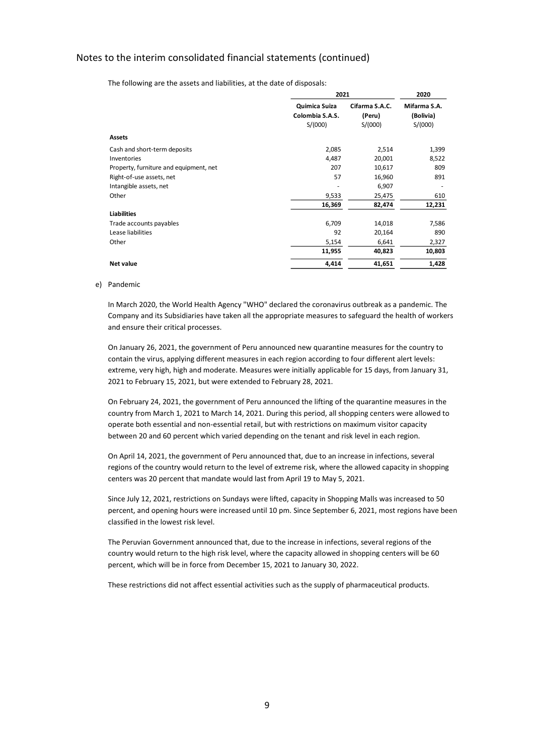The following are the assets and liabilities, at the date of disposals:

|                                        | 2021                             |                          |                           |
|----------------------------------------|----------------------------------|--------------------------|---------------------------|
|                                        | Quimica Suiza<br>Colombia S.A.S. | Cifarma S.A.C.<br>(Peru) | Mifarma S.A.<br>(Bolivia) |
|                                        | S/(000)                          | S/(000)                  | S/(000)                   |
| <b>Assets</b>                          |                                  |                          |                           |
| Cash and short-term deposits           | 2,085                            | 2,514                    | 1,399                     |
| Inventories                            | 4,487                            | 20,001                   | 8,522                     |
| Property, furniture and equipment, net | 207                              | 10,617                   | 809                       |
| Right-of-use assets, net               | 57                               | 16,960                   | 891                       |
| Intangible assets, net                 |                                  | 6,907                    |                           |
| Other                                  | 9,533                            | 25,475                   | 610                       |
|                                        | 16,369                           | 82,474                   | 12,231                    |
| <b>Liabilities</b>                     |                                  |                          |                           |
| Trade accounts payables                | 6,709                            | 14,018                   | 7,586                     |
| Lease liabilities                      | 92                               | 20,164                   | 890                       |
| Other                                  | 5,154                            | 6,641                    | 2,327                     |
|                                        | 11,955                           | 40,823                   | 10,803                    |
| <b>Net value</b>                       | 4,414                            | 41,651                   | 1,428                     |

#### e) Pandemic

In March 2020, the World Health Agency "WHO" declared the coronavirus outbreak as a pandemic. The Company and its Subsidiaries have taken all the appropriate measures to safeguard the health of workers and ensure their critical processes.

On January 26, 2021, the government of Peru announced new quarantine measures for the country to contain the virus, applying different measures in each region according to four different alert levels: extreme, very high, high and moderate. Measures were initially applicable for 15 days, from January 31, 2021 to February 15, 2021, but were extended to February 28, 2021.

On February 24, 2021, the government of Peru announced the lifting of the quarantine measures in the country from March 1, 2021 to March 14, 2021. During this period, all shopping centers were allowed to operate both essential and non-essential retail, but with restrictions on maximum visitor capacity between 20 and 60 percent which varied depending on the tenant and risk level in each region.

On April 14, 2021, the government of Peru announced that, due to an increase in infections, several regions of the country would return to the level of extreme risk, where the allowed capacity in shopping centers was 20 percent that mandate would last from April 19 to May 5, 2021.

Since July 12, 2021, restrictions on Sundays were lifted, capacity in Shopping Malls was increased to 50 percent, and opening hours were increased until 10 pm. Since September 6, 2021, most regions have been classified in the lowest risk level.

The Peruvian Government announced that, due to the increase in infections, several regions of the country would return to the high risk level, where the capacity allowed in shopping centers will be 60 percent, which will be in force from December 15, 2021 to January 30, 2022.

These restrictions did not affect essential activities such as the supply of pharmaceutical products.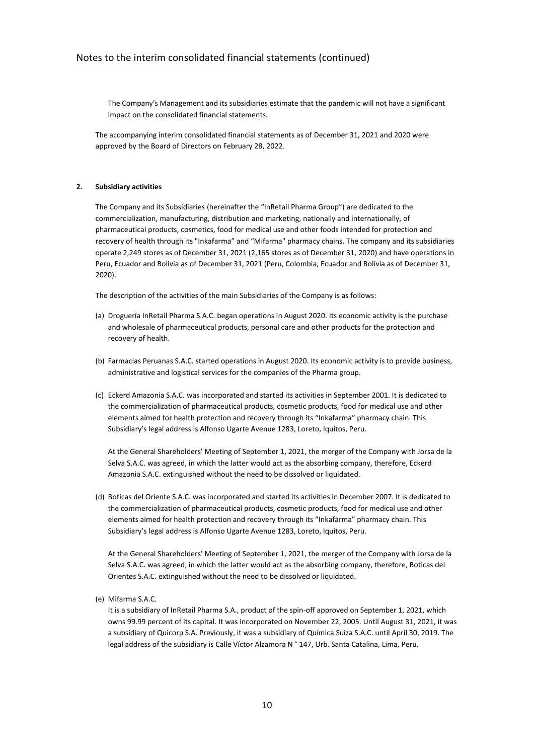The Company's Management and its subsidiaries estimate that the pandemic will not have a significant impact on the consolidated financial statements.

The accompanying interim consolidated financial statements as of December 31, 2021 and 2020 were approved by the Board of Directors on February 28, 2022.

#### **2. Subsidiary activities**

The Company and its Subsidiaries (hereinafter the "InRetail Pharma Group") are dedicated to the commercialization, manufacturing, distribution and marketing, nationally and internationally, of pharmaceutical products, cosmetics, food for medical use and other foods intended for protection and recovery of health through its "Inkafarma" and "Mifarma" pharmacy chains. The company and its subsidiaries operate 2,249 stores as of December 31, 2021 (2,165 stores as of December 31, 2020) and have operations in Peru, Ecuador and Bolivia as of December 31, 2021 (Peru, Colombia, Ecuador and Bolivia as of December 31, 2020).

The description of the activities of the main Subsidiaries of the Company is as follows:

- (a) Droguería InRetail Pharma S.A.C. began operations in August 2020. Its economic activity is the purchase and wholesale of pharmaceutical products, personal care and other products for the protection and recovery of health.
- (b) Farmacias Peruanas S.A.C. started operations in August 2020. Its economic activity is to provide business, administrative and logistical services for the companies of the Pharma group.
- (c) Eckerd Amazonia S.A.C. was incorporated and started its activities in September 2001. It is dedicated to the commercialization of pharmaceutical products, cosmetic products, food for medical use and other elements aimed for health protection and recovery through its "Inkafarma" pharmacy chain. This Subsidiary's legal address is Alfonso Ugarte Avenue 1283, Loreto, Iquitos, Peru.

At the General Shareholders' Meeting of September 1, 2021, the merger of the Company with Jorsa de la Selva S.A.C. was agreed, in which the latter would act as the absorbing company, therefore, Eckerd Amazonia S.A.C. extinguished without the need to be dissolved or liquidated.

(d) Boticas del Oriente S.A.C. was incorporated and started its activities in December 2007. It is dedicated to the commercialization of pharmaceutical products, cosmetic products, food for medical use and other elements aimed for health protection and recovery through its "Inkafarma" pharmacy chain. This Subsidiary's legal address is Alfonso Ugarte Avenue 1283, Loreto, Iquitos, Peru.

At the General Shareholders' Meeting of September 1, 2021, the merger of the Company with Jorsa de la Selva S.A.C. was agreed, in which the latter would act as the absorbing company, therefore, Boticas del Orientes S.A.C. extinguished without the need to be dissolved or liquidated.

(e) Mifarma S.A.C.

It is a subsidiary of InRetail Pharma S.A., product of the spin-off approved on September 1, 2021, which owns 99.99 percent of its capital. It was incorporated on November 22, 2005. Until August 31, 2021, it was a subsidiary of Quicorp S.A. Previously, it was a subsidiary of Química Suiza S.A.C. until April 30, 2019. The legal address of the subsidiary is Calle Víctor Alzamora N ° 147, Urb. Santa Catalina, Lima, Peru.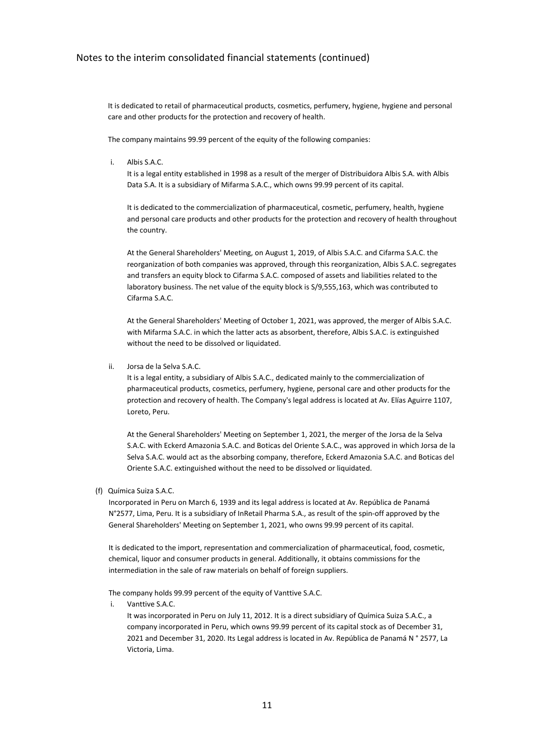It is dedicated to retail of pharmaceutical products, cosmetics, perfumery, hygiene, hygiene and personal care and other products for the protection and recovery of health.

The company maintains 99.99 percent of the equity of the following companies:

 $i$  Albis  $S$  A.C.

It is a legal entity established in 1998 as a result of the merger of Distribuidora Albis S.A. with Albis Data S.A. It is a subsidiary of Mifarma S.A.C., which owns 99.99 percent of its capital.

It is dedicated to the commercialization of pharmaceutical, cosmetic, perfumery, health, hygiene and personal care products and other products for the protection and recovery of health throughout the country.

At the General Shareholders' Meeting, on August 1, 2019, of Albis S.A.C. and Cifarma S.A.C. the reorganization of both companies was approved, through this reorganization, Albis S.A.C. segregates and transfers an equity block to Cifarma S.A.C. composed of assets and liabilities related to the laboratory business. The net value of the equity block is S/9,555,163, which was contributed to Cifarma S.A.C.

At the General Shareholders' Meeting of October 1, 2021, was approved, the merger of Albis S.A.C. with Mifarma S.A.C. in which the latter acts as absorbent, therefore, Albis S.A.C. is extinguished without the need to be dissolved or liquidated.

ii. Jorsa de la Selva S.A.C.

It is a legal entity, a subsidiary of Albis S.A.C., dedicated mainly to the commercialization of pharmaceutical products, cosmetics, perfumery, hygiene, personal care and other products for the protection and recovery of health. The Company's legal address is located at Av. Elías Aguirre 1107, Loreto, Peru.

At the General Shareholders' Meeting on September 1, 2021, the merger of the Jorsa de la Selva S.A.C. with Eckerd Amazonia S.A.C. and Boticas del Oriente S.A.C., was approved in which Jorsa de la Selva S.A.C. would act as the absorbing company, therefore, Eckerd Amazonia S.A.C. and Boticas del Oriente S.A.C. extinguished without the need to be dissolved or liquidated.

(f) Química Suiza S.A.C.

Incorporated in Peru on March 6, 1939 and its legal address is located at Av. República de Panamá N°2577, Lima, Peru. It is a subsidiary of InRetail Pharma S.A., as result of the spin-off approved by the General Shareholders' Meeting on September 1, 2021, who owns 99.99 percent of its capital.

It is dedicated to the import, representation and commercialization of pharmaceutical, food, cosmetic, chemical, liquor and consumer products in general. Additionally, it obtains commissions for the intermediation in the sale of raw materials on behalf of foreign suppliers.

The company holds 99.99 percent of the equity of Vanttive S.A.C.

i. Vanttive S.A.C.

It was incorporated in Peru on July 11, 2012. It is a direct subsidiary of Química Suiza S.A.C., a company incorporated in Peru, which owns 99.99 percent of its capital stock as of December 31, 2021 and December 31, 2020. Its Legal address is located in Av. República de Panamá N ° 2577, La Victoria, Lima.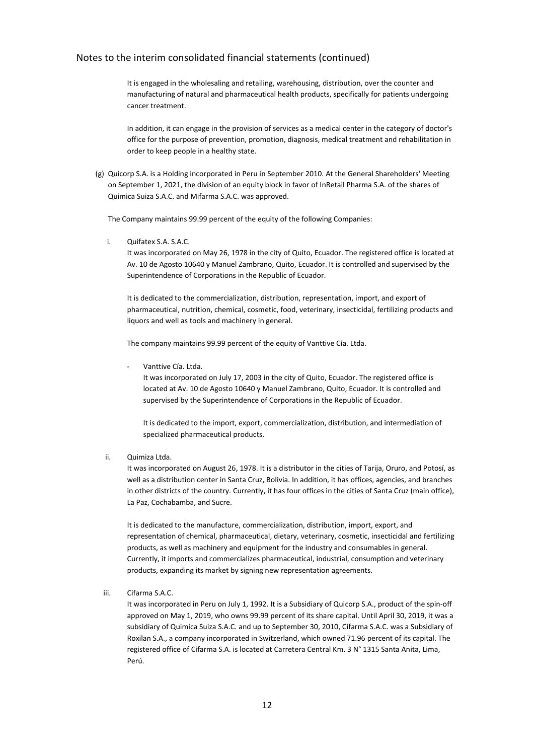It is engaged in the wholesaling and retailing, warehousing, distribution, over the counter and manufacturing of natural and pharmaceutical health products, specifically for patients undergoing cancer treatment.

In addition, it can engage in the provision of services as a medical center in the category of doctor's office for the purpose of prevention, promotion, diagnosis, medical treatment and rehabilitation in order to keep people in a healthy state.

(g) Quicorp S.A. is a Holding incorporated in Peru in September 2010. At the General Shareholders' Meeting on September 1, 2021, the division of an equity block in favor of InRetail Pharma S.A. of the shares of Quimica Suiza S.A.C. and Mifarma S.A.C. was approved.

The Company maintains 99.99 percent of the equity of the following Companies:

i. Quifatex S.A. S.A.C.

It was incorporated on May 26, 1978 in the city of Quito, Ecuador. The registered office is located at Av. 10 de Agosto 10640 y Manuel Zambrano, Quito, Ecuador. It is controlled and supervised by the Superintendence of Corporations in the Republic of Ecuador.

It is dedicated to the commercialization, distribution, representation, import, and export of pharmaceutical, nutrition, chemical, cosmetic, food, veterinary, insecticidal, fertilizing products and liquors and well as tools and machinery in general.

The company maintains 99.99 percent of the equity of Vanttive Cía. Ltda.

Vanttive Cía. I tda.

It was incorporated on July 17, 2003 in the city of Quito, Ecuador. The registered office is located at Av. 10 de Agosto 10640 y Manuel Zambrano, Quito, Ecuador. It is controlled and supervised by the Superintendence of Corporations in the Republic of Ecuador.

It is dedicated to the import, export, commercialization, distribution, and intermediation of specialized pharmaceutical products.

ii. Quimiza Ltda.

It was incorporated on August 26, 1978. It is a distributor in the cities of Tarija, Oruro, and Potosí, as well as a distribution center in Santa Cruz, Bolivia. In addition, it has offices, agencies, and branches in other districts of the country. Currently, it has four offices in the cities of Santa Cruz (main office), La Paz, Cochabamba, and Sucre.

It is dedicated to the manufacture, commercialization, distribution, import, export, and representation of chemical, pharmaceutical, dietary, veterinary, cosmetic, insecticidal and fertilizing products, as well as machinery and equipment for the industry and consumables in general. Currently, it imports and commercializes pharmaceutical, industrial, consumption and veterinary products, expanding its market by signing new representation agreements.

iii. Cifarma S.A.C.

It was incorporated in Peru on July 1, 1992. It is a Subsidiary of Quicorp S.A., product of the spin-off approved on May 1, 2019, who owns 99.99 percent of its share capital. Until April 30, 2019, it was a subsidiary of Quimica Suiza S.A.C. and up to September 30, 2010, Cifarma S.A.C. was a Subsidiary of Roxilan S.A., a company incorporated in Switzerland, which owned 71.96 percent of its capital. The registered office of Cifarma S.A. is located at Carretera Central Km. 3 N° 1315 Santa Anita, Lima, Perú.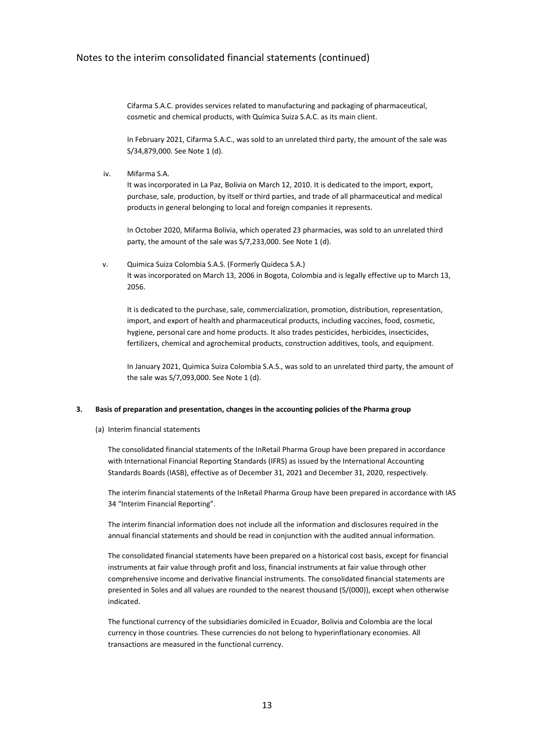Cifarma S.A.C. provides services related to manufacturing and packaging of pharmaceutical, cosmetic and chemical products, with Química Suiza S.A.C. as its main client.

In February 2021, Cifarma S.A.C., was sold to an unrelated third party, the amount of the sale was S/34,879,000. See Note 1 (d).

iv. Mifarma S.A.

It was incorporated in La Paz, Bolivia on March 12, 2010. It is dedicated to the import, export, purchase, sale, production, by itself or third parties, and trade of all pharmaceutical and medical products in general belonging to local and foreign companies it represents.

In October 2020, Mifarma Bolivia, which operated 23 pharmacies, was sold to an unrelated third party, the amount of the sale was S/7,233,000. See Note 1 (d).

v. Quimica Suiza Colombia S.A.S. (Formerly Quideca S.A.) It was incorporated on March 13, 2006 in Bogota, Colombia and is legally effective up to March 13, 2056.

It is dedicated to the purchase, sale, commercialization, promotion, distribution, representation, import, and export of health and pharmaceutical products, including vaccines, food, cosmetic, hygiene, personal care and home products. It also trades pesticides, herbicides, insecticides, fertilizers, chemical and agrochemical products, construction additives, tools, and equipment.

In January 2021, Quimica Suiza Colombia S.A.S., was sold to an unrelated third party, the amount of the sale was S/7,093,000. See Note 1 (d).

#### **3. Basis of preparation and presentation, changes in the accounting policies of the Pharma group**

(a) Interim financial statements

The consolidated financial statements of the InRetail Pharma Group have been prepared in accordance with International Financial Reporting Standards (IFRS) as issued by the International Accounting Standards Boards (IASB), effective as of December 31, 2021 and December 31, 2020, respectively.

The interim financial statements of the InRetail Pharma Group have been prepared in accordance with IAS 34 "Interim Financial Reporting".

The interim financial information does not include all the information and disclosures required in the annual financial statements and should be read in conjunction with the audited annual information.

The consolidated financial statements have been prepared on a historical cost basis, except for financial instruments at fair value through profit and loss, financial instruments at fair value through other comprehensive income and derivative financial instruments. The consolidated financial statements are presented in Soles and all values are rounded to the nearest thousand (S/(000)), except when otherwise indicated.

The functional currency of the subsidiaries domiciled in Ecuador, Bolivia and Colombia are the local currency in those countries. These currencies do not belong to hyperinflationary economies. All transactions are measured in the functional currency.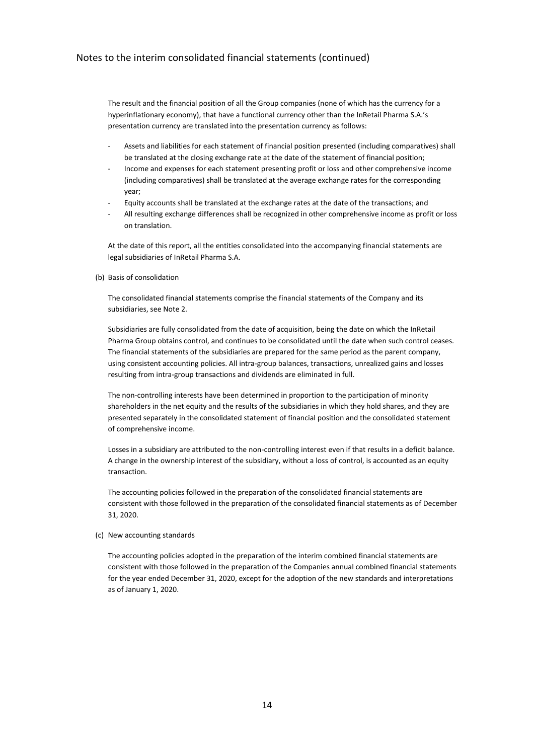The result and the financial position of all the Group companies (none of which has the currency for a hyperinflationary economy), that have a functional currency other than the InRetail Pharma S.A.'s presentation currency are translated into the presentation currency as follows:

- Assets and liabilities for each statement of financial position presented (including comparatives) shall be translated at the closing exchange rate at the date of the statement of financial position;
- Income and expenses for each statement presenting profit or loss and other comprehensive income (including comparatives) shall be translated at the average exchange rates for the corresponding year;
- Equity accounts shall be translated at the exchange rates at the date of the transactions; and
- All resulting exchange differences shall be recognized in other comprehensive income as profit or loss on translation.

At the date of this report, all the entities consolidated into the accompanying financial statements are legal subsidiaries of InRetail Pharma S.A.

#### (b) Basis of consolidation

The consolidated financial statements comprise the financial statements of the Company and its subsidiaries, see Note 2.

Subsidiaries are fully consolidated from the date of acquisition, being the date on which the InRetail Pharma Group obtains control, and continues to be consolidated until the date when such control ceases. The financial statements of the subsidiaries are prepared for the same period as the parent company, using consistent accounting policies. All intra-group balances, transactions, unrealized gains and losses resulting from intra-group transactions and dividends are eliminated in full.

The non-controlling interests have been determined in proportion to the participation of minority shareholders in the net equity and the results of the subsidiaries in which they hold shares, and they are presented separately in the consolidated statement of financial position and the consolidated statement of comprehensive income.

Losses in a subsidiary are attributed to the non-controlling interest even if that results in a deficit balance. A change in the ownership interest of the subsidiary, without a loss of control, is accounted as an equity transaction.

The accounting policies followed in the preparation of the consolidated financial statements are consistent with those followed in the preparation of the consolidated financial statements as of December 31, 2020.

#### (c) New accounting standards

The accounting policies adopted in the preparation of the interim combined financial statements are consistent with those followed in the preparation of the Companies annual combined financial statements for the year ended December 31, 2020, except for the adoption of the new standards and interpretations as of January 1, 2020.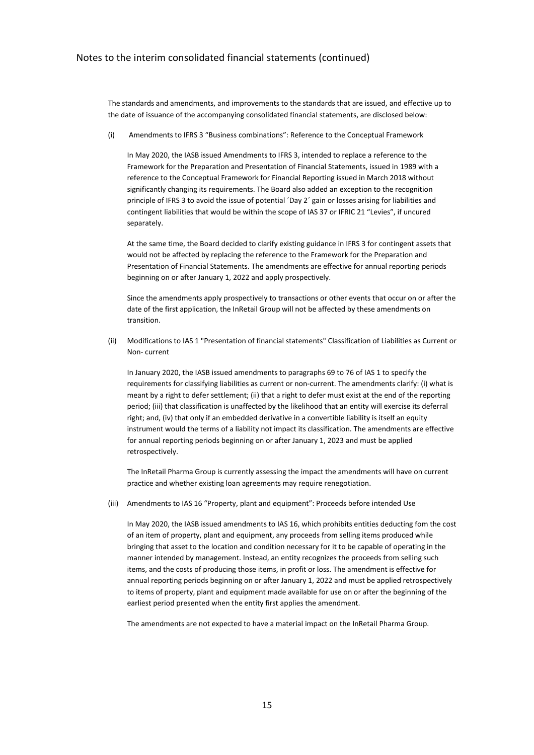The standards and amendments, and improvements to the standards that are issued, and effective up to the date of issuance of the accompanying consolidated financial statements, are disclosed below:

(i) Amendments to IFRS 3 "Business combinations": Reference to the Conceptual Framework

In May 2020, the IASB issued Amendments to IFRS 3, intended to replace a reference to the Framework for the Preparation and Presentation of Financial Statements, issued in 1989 with a reference to the Conceptual Framework for Financial Reporting issued in March 2018 without significantly changing its requirements. The Board also added an exception to the recognition principle of IFRS 3 to avoid the issue of potential ´Day 2´ gain or losses arising for liabilities and contingent liabilities that would be within the scope of IAS 37 or IFRIC 21 "Levies", if uncured separately.

At the same time, the Board decided to clarify existing guidance in IFRS 3 for contingent assets that would not be affected by replacing the reference to the Framework for the Preparation and Presentation of Financial Statements. The amendments are effective for annual reporting periods beginning on or after January 1, 2022 and apply prospectively.

Since the amendments apply prospectively to transactions or other events that occur on or after the date of the first application, the InRetail Group will not be affected by these amendments on transition.

(ii) Modifications to IAS 1 "Presentation of financial statements" Classification of Liabilities as Current or Non- current

In January 2020, the IASB issued amendments to paragraphs 69 to 76 of IAS 1 to specify the requirements for classifying liabilities as current or non-current. The amendments clarify: (i) what is meant by a right to defer settlement; (ii) that a right to defer must exist at the end of the reporting period; (iii) that classification is unaffected by the likelihood that an entity will exercise its deferral right; and, (iv) that only if an embedded derivative in a convertible liability is itself an equity instrument would the terms of a liability not impact its classification. The amendments are effective for annual reporting periods beginning on or after January 1, 2023 and must be applied retrospectively.

The InRetail Pharma Group is currently assessing the impact the amendments will have on current practice and whether existing loan agreements may require renegotiation.

(iii) Amendments to IAS 16 "Property, plant and equipment": Proceeds before intended Use

In May 2020, the IASB issued amendments to IAS 16, which prohibits entities deducting fom the cost of an item of property, plant and equipment, any proceeds from selling items produced while bringing that asset to the location and condition necessary for it to be capable of operating in the manner intended by management. Instead, an entity recognizes the proceeds from selling such items, and the costs of producing those items, in profit or loss. The amendment is effective for annual reporting periods beginning on or after January 1, 2022 and must be applied retrospectively to items of property, plant and equipment made available for use on or after the beginning of the earliest period presented when the entity first applies the amendment.

The amendments are not expected to have a material impact on the InRetail Pharma Group.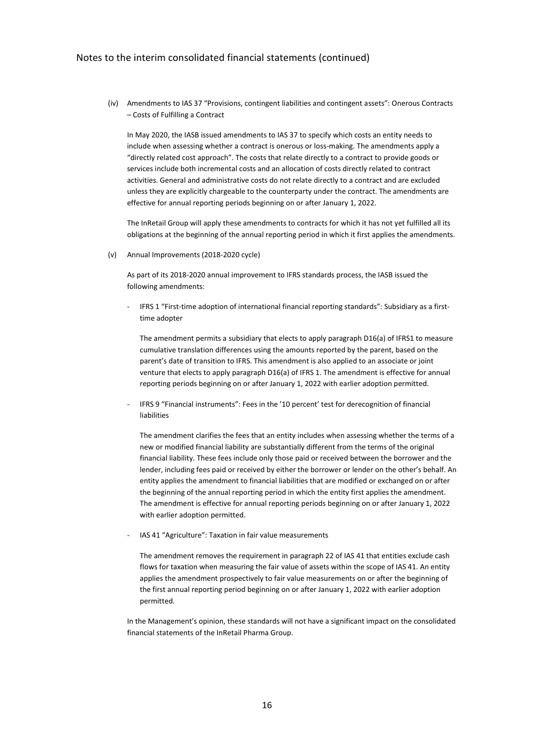(iv) Amendments to IAS 37 "Provisions, contingent liabilities and contingent assets": Onerous Contracts – Costs of Fulfilling a Contract

In May 2020, the IASB issued amendments to IAS 37 to specify which costs an entity needs to include when assessing whether a contract is onerous or loss-making. The amendments apply a "directly related cost approach". The costs that relate directly to a contract to provide goods or services include both incremental costs and an allocation of costs directly related to contract activities. General and administrative costs do not relate directly to a contract and are excluded unless they are explicitly chargeable to the counterparty under the contract. The amendments are effective for annual reporting periods beginning on or after January 1, 2022.

The InRetail Group will apply these amendments to contracts for which it has not yet fulfilled all its obligations at the beginning of the annual reporting period in which it first applies the amendments.

(v) Annual Improvements (2018-2020 cycle)

As part of its 2018-2020 annual improvement to IFRS standards process, the IASB issued the following amendments:

IFRS 1 "First-time adoption of international financial reporting standards": Subsidiary as a firsttime adopter

The amendment permits a subsidiary that elects to apply paragraph D16(a) of IFRS1 to measure cumulative translation differences using the amounts reported by the parent, based on the parent's date of transition to IFRS. This amendment is also applied to an associate or joint venture that elects to apply paragraph D16(a) of IFRS 1. The amendment is effective for annual reporting periods beginning on or after January 1, 2022 with earlier adoption permitted.

IFRS 9 "Financial instruments": Fees in the '10 percent' test for derecognition of financial liabilities

The amendment clarifies the fees that an entity includes when assessing whether the terms of a new or modified financial liability are substantially different from the terms of the original financial liability. These fees include only those paid or received between the borrower and the lender, including fees paid or received by either the borrower or lender on the other's behalf. An entity applies the amendment to financial liabilities that are modified or exchanged on or after the beginning of the annual reporting period in which the entity first applies the amendment. The amendment is effective for annual reporting periods beginning on or after January 1, 2022 with earlier adoption permitted.

IAS 41 "Agriculture": Taxation in fair value measurements

The amendment removes the requirement in paragraph 22 of IAS 41 that entities exclude cash flows for taxation when measuring the fair value of assets within the scope of IAS 41. An entity applies the amendment prospectively to fair value measurements on or after the beginning of the first annual reporting period beginning on or after January 1, 2022 with earlier adoption permitted.

In the Management's opinion, these standards will not have a significant impact on the consolidated financial statements of the InRetail Pharma Group.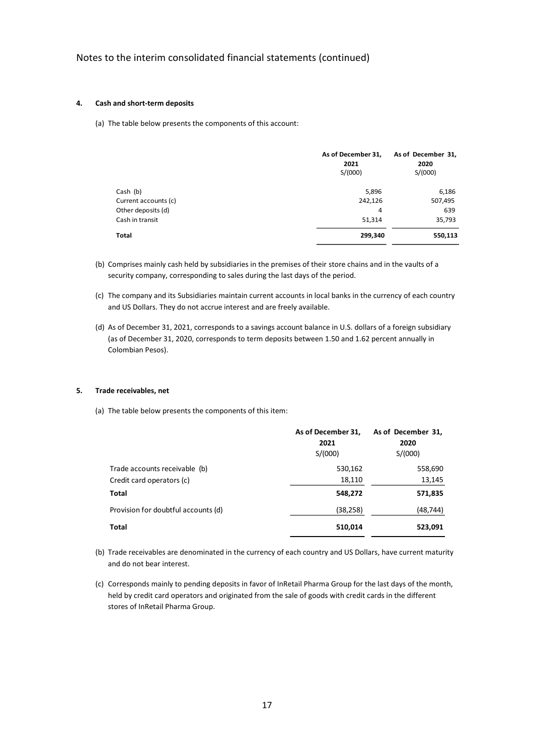#### **4. Cash and short-term deposits**

(a) The table below presents the components of this account:

|                      | As of December 31,<br>2021<br>S/(000) | As of December 31,<br>2020<br>S/(000) |
|----------------------|---------------------------------------|---------------------------------------|
| Cash (b)             | 5,896                                 | 6,186                                 |
| Current accounts (c) | 242,126                               | 507,495                               |
| Other deposits (d)   | 4                                     | 639                                   |
| Cash in transit      | 51,314                                | 35,793                                |
| Total                | 299,340                               | 550,113                               |

- (b) Comprises mainly cash held by subsidiaries in the premises of their store chains and in the vaults of a security company, corresponding to sales during the last days of the period.
- (c) The company and its Subsidiaries maintain current accounts in local banks in the currency of each country and US Dollars. They do not accrue interest and are freely available.
- (d) As of December 31, 2021, corresponds to a savings account balance in U.S. dollars of a foreign subsidiary (as of December 31, 2020, corresponds to term deposits between 1.50 and 1.62 percent annually in Colombian Pesos).

#### **5. Trade receivables, net**

(a) The table below presents the components of this item:

|                                     | As of December 31,<br>2021<br>S/(000) | As of December 31,<br>2020<br>S/(000) |
|-------------------------------------|---------------------------------------|---------------------------------------|
| Trade accounts receivable (b)       | 530,162                               | 558,690                               |
| Credit card operators (c)           | 18,110                                | 13,145                                |
| Total                               | 548,272                               | 571,835                               |
| Provision for doubtful accounts (d) | (38,258)                              | (48, 744)                             |
| Total                               | 510,014                               | 523,091                               |

- (b) Trade receivables are denominated in the currency of each country and US Dollars, have current maturity and do not bear interest.
- (c) Corresponds mainly to pending deposits in favor of InRetail Pharma Group for the last days of the month, held by credit card operators and originated from the sale of goods with credit cards in the different stores of InRetail Pharma Group.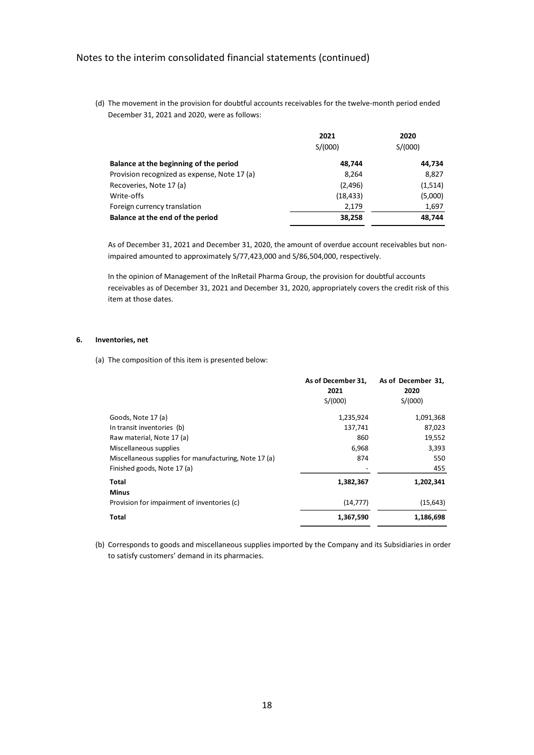(d) The movement in the provision for doubtful accounts receivables for the twelve-month period ended December 31, 2021 and 2020, were as follows:

|                                              | 2021      | 2020    |
|----------------------------------------------|-----------|---------|
|                                              | S/(000)   | S/(000) |
| Balance at the beginning of the period       | 48.744    | 44,734  |
| Provision recognized as expense, Note 17 (a) | 8,264     | 8,827   |
| Recoveries, Note 17 (a)                      | (2,496)   | (1,514) |
| Write-offs                                   | (18, 433) | (5,000) |
| Foreign currency translation                 | 2,179     | 1,697   |
| Balance at the end of the period             | 38,258    | 48,744  |

As of December 31, 2021 and December 31, 2020, the amount of overdue account receivables but nonimpaired amounted to approximately S/77,423,000 and S/86,504,000, respectively.

In the opinion of Management of the InRetail Pharma Group, the provision for doubtful accounts receivables as of December 31, 2021 and December 31, 2020, appropriately covers the credit risk of this item at those dates.

#### **6. Inventories, net**

(a) The composition of this item is presented below:

|                                                       | As of December 31,<br>2021 | As of December 31,<br>2020 |
|-------------------------------------------------------|----------------------------|----------------------------|
|                                                       | S/(000)                    | S/(000)                    |
| Goods, Note 17 (a)                                    | 1,235,924                  | 1,091,368                  |
| In transit inventories (b)                            | 137,741                    | 87,023                     |
| Raw material, Note 17 (a)                             | 860                        | 19,552                     |
| Miscellaneous supplies                                | 6,968                      | 3,393                      |
| Miscellaneous supplies for manufacturing, Note 17 (a) | 874                        | 550                        |
| Finished goods, Note 17 (a)                           |                            | 455                        |
| Total                                                 | 1,382,367                  | 1,202,341                  |
| <b>Minus</b>                                          |                            |                            |
| Provision for impairment of inventories (c)           | (14, 777)                  | (15, 643)                  |
| Total                                                 | 1,367,590                  | 1,186,698                  |

(b) Corresponds to goods and miscellaneous supplies imported by the Company and its Subsidiaries in order to satisfy customers' demand in its pharmacies.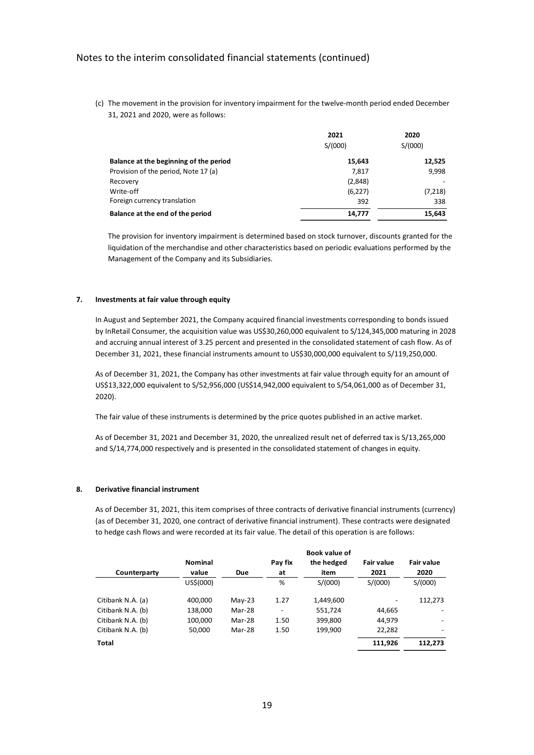(c) The movement in the provision for inventory impairment for the twelve-month period ended December 31, 2021 and 2020, were as follows:

|                                        | 2021<br>S/(000) | 2020<br>S/(000) |
|----------------------------------------|-----------------|-----------------|
| Balance at the beginning of the period | 15,643          | 12,525          |
| Provision of the period, Note 17 (a)   | 7.817           | 9,998           |
| Recovery                               | (2,848)         |                 |
| Write-off                              | (6,227)         | (7,218)         |
| Foreign currency translation           | 392             | 338             |
| Balance at the end of the period       | 14.777          | 15,643          |

The provision for inventory impairment is determined based on stock turnover, discounts granted for the liquidation of the merchandise and other characteristics based on periodic evaluations performed by the Management of the Company and its Subsidiaries.

#### **7. Investments at fair value through equity**

In August and September 2021, the Company acquired financial investments corresponding to bonds issued by InRetail Consumer, the acquisition value was US\$30,260,000 equivalent to S/124,345,000 maturing in 2028 and accruing annual interest of 3.25 percent and presented in the consolidated statement of cash flow. As of December 31, 2021, these financial instruments amount to US\$30,000,000 equivalent to S/119,250,000.

As of December 31, 2021, the Company has other investments at fair value through equity for an amount of US\$13,322,000 equivalent to S/52,956,000 (US\$14,942,000 equivalent to S/54,061,000 as of December 31, 2020).

The fair value of these instruments is determined by the price quotes published in an active market.

As of December 31, 2021 and December 31, 2020, the unrealized result net of deferred tax is S/13,265,000 and S/14,774,000 respectively and is presented in the consolidated statement of changes in equity.

### **8. Derivative financial instrument**

As of December 31, 2021, this item comprises of three contracts of derivative financial instruments (currency) (as of December 31, 2020, one contract of derivative financial instrument). These contracts were designated to hedge cash flows and were recorded at its fair value. The detail of this operation is are follows:

|                   |                |            |         | Book value of |                   |                   |
|-------------------|----------------|------------|---------|---------------|-------------------|-------------------|
|                   | <b>Nominal</b> |            | Pay fix | the hedged    | <b>Fair value</b> | <b>Fair value</b> |
| Counterparty      | value          | <b>Due</b> | at      | item          | 2021              | 2020              |
|                   | US\$(000)      |            | %       | S/(000)       | S/(000)           | S/(000)           |
| Citibank N.A. (a) | 400,000        | $May-23$   | 1.27    | 1,449,600     |                   | 112,273           |
| Citibank N.A. (b) | 138,000        | Mar-28     |         | 551,724       | 44,665            |                   |
| Citibank N.A. (b) | 100,000        | Mar-28     | 1.50    | 399,800       | 44,979            |                   |
| Citibank N.A. (b) | 50,000         | Mar-28     | 1.50    | 199,900       | 22,282            |                   |
| Total             |                |            |         |               | 111,926           | 112.273           |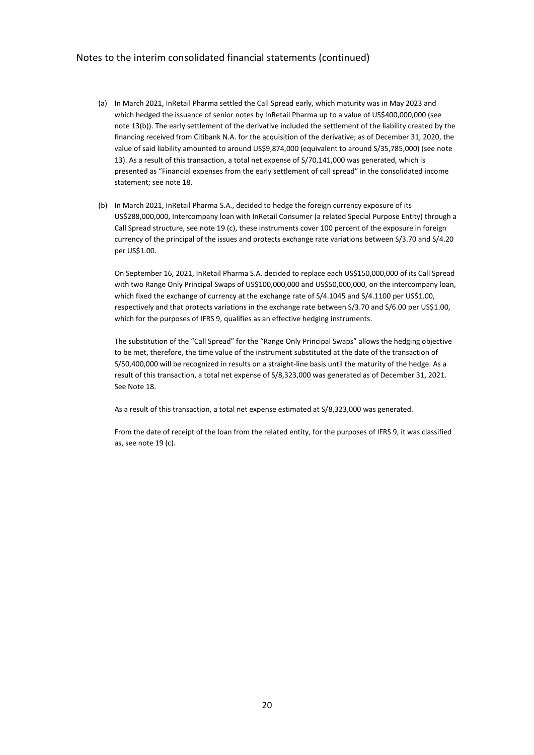- (a) In March 2021, InRetail Pharma settled the Call Spread early, which maturity was in May 2023 and which hedged the issuance of senior notes by InRetail Pharma up to a value of US\$400,000,000 (see note 13(b)). The early settlement of the derivative included the settlement of the liability created by the financing received from Citibank N.A. for the acquisition of the derivative; as of December 31, 2020, the value of said liability amounted to around US\$9,874,000 (equivalent to around S/35,785,000) (see note 13). As a result of this transaction, a total net expense of S/70,141,000 was generated, which is presented as "Financial expenses from the early settlement of call spread" in the consolidated income statement; see note 18.
- (b) In March 2021, InRetail Pharma S.A., decided to hedge the foreign currency exposure of its US\$288,000,000, Intercompany loan with InRetail Consumer (a related Special Purpose Entity) through a Call Spread structure, see note 19 (c), these instruments cover 100 percent of the exposure in foreign currency of the principal of the issues and protects exchange rate variations between S/3.70 and S/4.20 per US\$1.00.

On September 16, 2021, InRetail Pharma S.A. decided to replace each US\$150,000,000 of its Call Spread with two Range Only Principal Swaps of US\$100,000,000 and US\$50,000,000, on the intercompany loan, which fixed the exchange of currency at the exchange rate of S/4.1045 and S/4.1100 per US\$1.00, respectively and that protects variations in the exchange rate between S/3.70 and S/6.00 per US\$1.00, which for the purposes of IFRS 9, qualifies as an effective hedging instruments.

The substitution of the "Call Spread" for the "Range Only Principal Swaps" allows the hedging objective to be met, therefore, the time value of the instrument substituted at the date of the transaction of S/50,400,000 will be recognized in results on a straight-line basis until the maturity of the hedge. As a result of this transaction, a total net expense of S/8,323,000 was generated as of December 31, 2021. See Note 18.

As a result of this transaction, a total net expense estimated at S/8,323,000 was generated.

From the date of receipt of the loan from the related entity, for the purposes of IFRS 9, it was classified as, see note 19 (c).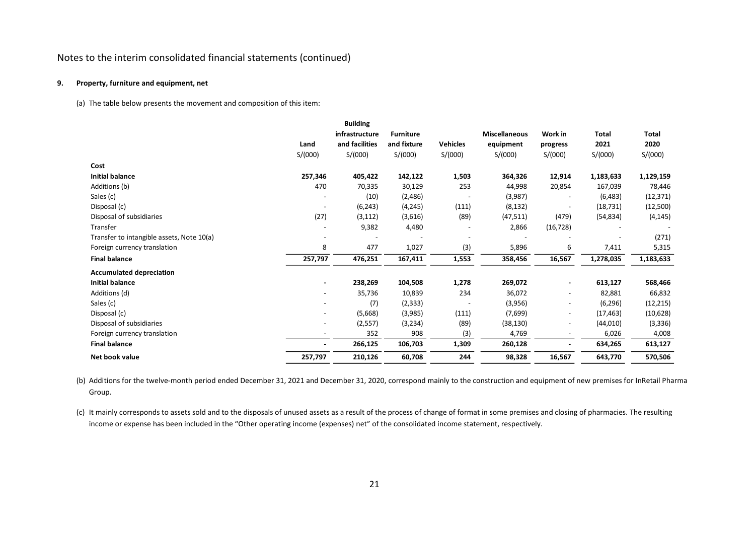### **9. Property, furniture and equipment, net**

(a) The table below presents the movement and composition of this item:

|                                           |                          | <b>Building</b> |                  |                 |                      |                          |           |              |
|-------------------------------------------|--------------------------|-----------------|------------------|-----------------|----------------------|--------------------------|-----------|--------------|
|                                           |                          | infrastructure  | <b>Furniture</b> |                 | <b>Miscellaneous</b> | Work in                  | Total     | <b>Total</b> |
|                                           | Land                     | and facilities  | and fixture      | <b>Vehicles</b> | equipment            | progress                 | 2021      | 2020         |
|                                           | S/(000)                  | S/(000)         | S/(000)          | S/(000)         | S/(000)              | S/(000)                  | S/(000)   | S/(000)      |
| Cost                                      |                          |                 |                  |                 |                      |                          |           |              |
| <b>Initial balance</b>                    | 257,346                  | 405,422         | 142,122          | 1,503           | 364,326              | 12,914                   | 1,183,633 | 1,129,159    |
| Additions (b)                             | 470                      | 70,335          | 30,129           | 253             | 44,998               | 20,854                   | 167,039   | 78,446       |
| Sales (c)                                 |                          | (10)            | (2,486)          |                 | (3,987)              | $\overline{\phantom{a}}$ | (6,483)   | (12, 371)    |
| Disposal (c)                              |                          | (6, 243)        | (4, 245)         | (111)           | (8, 132)             |                          | (18, 731) | (12,500)     |
| Disposal of subsidiaries                  | (27)                     | (3, 112)        | (3,616)          | (89)            | (47, 511)            | (479)                    | (54, 834) | (4, 145)     |
| Transfer                                  |                          | 9,382           | 4,480            |                 | 2,866                | (16, 728)                |           |              |
| Transfer to intangible assets, Note 10(a) |                          |                 |                  |                 |                      |                          |           | (271)        |
| Foreign currency translation              | 8                        | 477             | 1,027            | (3)             | 5,896                | 6                        | 7,411     | 5,315        |
| <b>Final balance</b>                      | 257,797                  | 476,251         | 167,411          | 1,553           | 358,456              | 16,567                   | 1,278,035 | 1,183,633    |
| <b>Accumulated depreciation</b>           |                          |                 |                  |                 |                      |                          |           |              |
| <b>Initial balance</b>                    |                          | 238,269         | 104,508          | 1,278           | 269,072              | $\overline{\phantom{a}}$ | 613,127   | 568,466      |
| Additions (d)                             | $\overline{\phantom{a}}$ | 35,736          | 10,839           | 234             | 36,072               | $\overline{\phantom{a}}$ | 82,881    | 66,832       |
| Sales (c)                                 |                          | (7)             | (2, 333)         |                 | (3,956)              | $\overline{\phantom{a}}$ | (6, 296)  | (12, 215)    |
| Disposal (c)                              |                          | (5,668)         | (3,985)          | (111)           | (7,699)              | $\overline{\phantom{a}}$ | (17, 463) | (10,628)     |
| Disposal of subsidiaries                  |                          | (2, 557)        | (3,234)          | (89)            | (38, 130)            | $\overline{\phantom{a}}$ | (44, 010) | (3,336)      |
| Foreign currency translation              |                          | 352             | 908              | (3)             | 4,769                | $\overline{\phantom{a}}$ | 6,026     | 4,008        |
| <b>Final balance</b>                      |                          | 266,125         | 106,703          | 1,309           | 260,128              |                          | 634,265   | 613,127      |
| Net book value                            | 257,797                  | 210,126         | 60,708           | 244             | 98,328               | 16,567                   | 643,770   | 570,506      |

(b) Additions for the twelve-month period ended December 31, 2021 and December 31, 2020, correspond mainly to the construction and equipment of new premises for InRetail Pharma Group.

(c) It mainly corresponds to assets sold and to the disposals of unused assets as a result of the process of change of format in some premises and closing of pharmacies. The resulting income or expense has been included in the "Other operating income (expenses) net" of the consolidated income statement, respectively.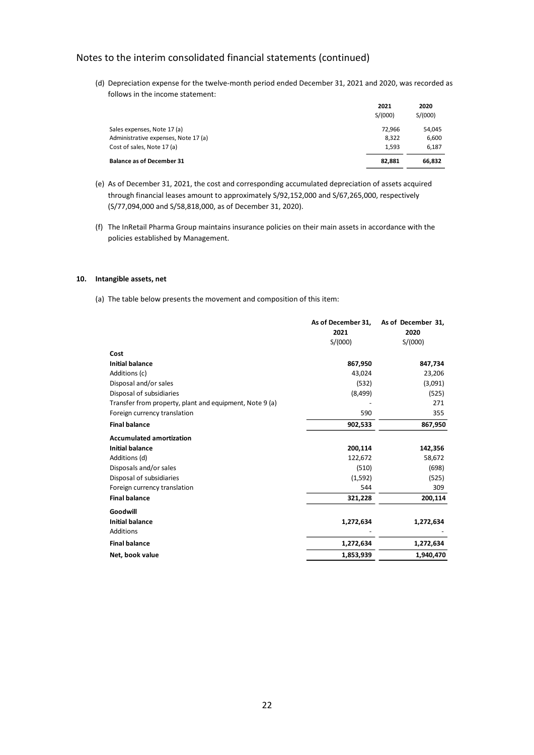(d) Depreciation expense for the twelve-month period ended December 31, 2021 and 2020, was recorded as follows in the income statement:

|                                      | 2021<br>S/(000) | 2020<br>S/(000) |
|--------------------------------------|-----------------|-----------------|
| Sales expenses, Note 17 (a)          | 72.966          | 54.045          |
| Administrative expenses, Note 17 (a) | 8.322           | 6,600           |
| Cost of sales, Note 17 (a)           | 1.593           | 6,187           |
| <b>Balance as of December 31</b>     | 82.881          | 66,832          |

- (e) As of December 31, 2021, the cost and corresponding accumulated depreciation of assets acquired through financial leases amount to approximately S/92,152,000 and S/67,265,000, respectively (S/77,094,000 and S/58,818,000, as of December 31, 2020).
- (f) The InRetail Pharma Group maintains insurance policies on their main assets in accordance with the policies established by Management.

### **10. Intangible assets, net**

(a) The table below presents the movement and composition of this item:

|                                                         | As of December 31, | As of December 31, |
|---------------------------------------------------------|--------------------|--------------------|
|                                                         | 2021               | 2020               |
|                                                         | S/(000)            | S/(000)            |
| Cost                                                    |                    |                    |
| <b>Initial balance</b>                                  | 867,950            | 847,734            |
| Additions (c)                                           | 43,024             | 23,206             |
| Disposal and/or sales                                   | (532)              | (3,091)            |
| Disposal of subsidiaries                                | (8,499)            | (525)              |
| Transfer from property, plant and equipment, Note 9 (a) |                    | 271                |
| Foreign currency translation                            | 590                | 355                |
| <b>Final balance</b>                                    | 902,533            | 867,950            |
| <b>Accumulated amortization</b>                         |                    |                    |
| <b>Initial balance</b>                                  | 200,114            | 142,356            |
| Additions (d)                                           | 122,672            | 58,672             |
| Disposals and/or sales                                  | (510)              | (698)              |
| Disposal of subsidiaries                                | (1,592)            | (525)              |
| Foreign currency translation                            | 544                | 309                |
| <b>Final balance</b>                                    | 321,228            | 200,114            |
| Goodwill                                                |                    |                    |
| <b>Initial balance</b>                                  | 1,272,634          | 1,272,634          |
| Additions                                               |                    |                    |
| <b>Final balance</b>                                    | 1,272,634          | 1,272,634          |
| Net, book value                                         | 1,853,939          | 1,940,470          |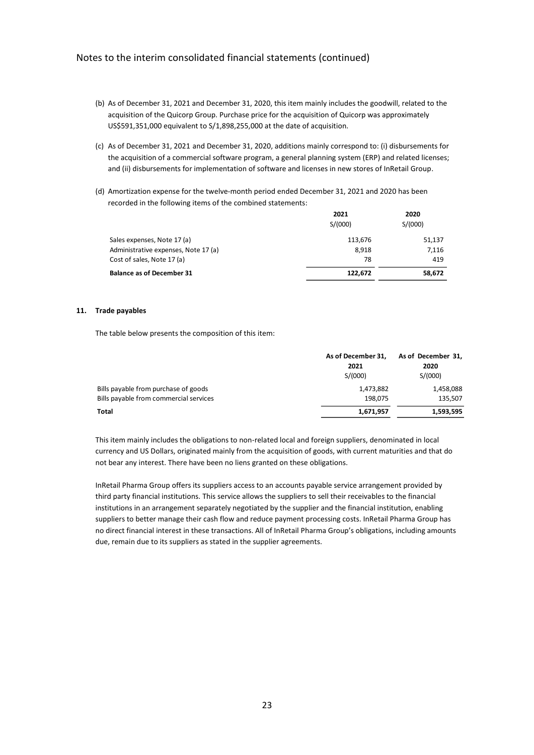- (b) As of December 31, 2021 and December 31, 2020, this item mainly includes the goodwill, related to the acquisition of the Quicorp Group. Purchase price for the acquisition of Quicorp was approximately US\$591,351,000 equivalent to S/1,898,255,000 at the date of acquisition.
- (c) As of December 31, 2021 and December 31, 2020, additions mainly correspond to: (i) disbursements for the acquisition of a commercial software program, a general planning system (ERP) and related licenses; and (ii) disbursements for implementation of software and licenses in new stores of InRetail Group.
- (d) Amortization expense for the twelve-month period ended December 31, 2021 and 2020 has been recorded in the following items of the combined statements:

|                                      | 2021<br>S/(000) | 2020<br>S/(000) |
|--------------------------------------|-----------------|-----------------|
| Sales expenses, Note 17 (a)          | 113,676         | 51,137          |
| Administrative expenses, Note 17 (a) | 8.918           | 7,116           |
| Cost of sales, Note 17 (a)           | 78              | 419             |
| <b>Balance as of December 31</b>     | 122.672         | 58,672          |

#### **11. Trade payables**

The table below presents the composition of this item:

|                                        | As of December 31, | As of December 31, |
|----------------------------------------|--------------------|--------------------|
|                                        | 2021               | 2020               |
|                                        | S/(000)            | S/(000)            |
| Bills payable from purchase of goods   | 1,473,882          | 1,458,088          |
| Bills payable from commercial services | 198.075            | 135,507            |
| Total                                  | 1,671,957          | 1,593,595          |

This item mainly includes the obligations to non-related local and foreign suppliers, denominated in local currency and US Dollars, originated mainly from the acquisition of goods, with current maturities and that do not bear any interest. There have been no liens granted on these obligations.

InRetail Pharma Group offers its suppliers access to an accounts payable service arrangement provided by third party financial institutions. This service allows the suppliers to sell their receivables to the financial institutions in an arrangement separately negotiated by the supplier and the financial institution, enabling suppliers to better manage their cash flow and reduce payment processing costs. InRetail Pharma Group has no direct financial interest in these transactions. All of InRetail Pharma Group's obligations, including amounts due, remain due to its suppliers as stated in the supplier agreements.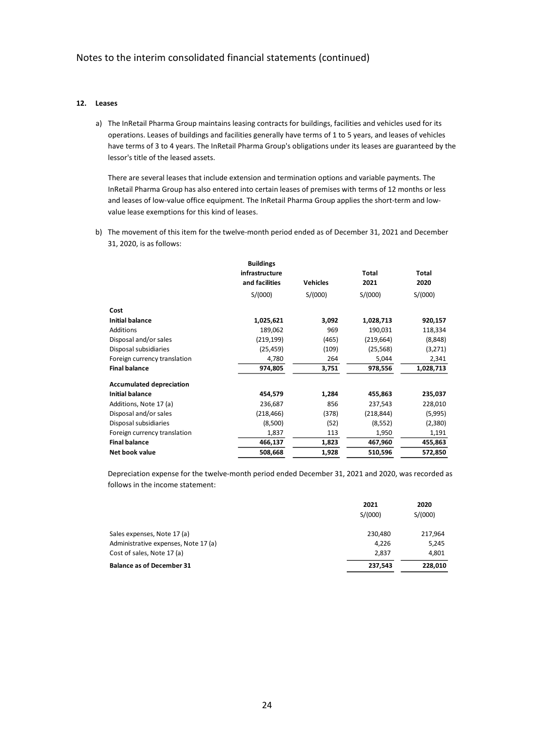#### **12. Leases**

a) The InRetail Pharma Group maintains leasing contracts for buildings, facilities and vehicles used for its operations. Leases of buildings and facilities generally have terms of 1 to 5 years, and leases of vehicles have terms of 3 to 4 years. The InRetail Pharma Group's obligations under its leases are guaranteed by the lessor's title of the leased assets.

There are several leases that include extension and termination options and variable payments. The InRetail Pharma Group has also entered into certain leases of premises with terms of 12 months or less and leases of low-value office equipment. The InRetail Pharma Group applies the short-term and lowvalue lease exemptions for this kind of leases.

b) The movement of this item for the twelve-month period ended as of December 31, 2021 and December 31, 2020, is as follows:

|                                 | <b>Buildings</b> |                 |              |              |
|---------------------------------|------------------|-----------------|--------------|--------------|
|                                 | infrastructure   |                 | <b>Total</b> | <b>Total</b> |
|                                 | and facilities   | <b>Vehicles</b> | 2021         | 2020         |
|                                 | S/(000)          | S/(000)         | S/(000)      | S/(000)      |
| Cost                            |                  |                 |              |              |
| <b>Initial balance</b>          | 1,025,621        | 3,092           | 1,028,713    | 920,157      |
| Additions                       | 189,062          | 969             | 190,031      | 118,334      |
| Disposal and/or sales           | (219, 199)       | (465)           | (219, 664)   | (8,848)      |
| Disposal subsidiaries           | (25, 459)        | (109)           | (25, 568)    | (3,271)      |
| Foreign currency translation    | 4,780            | 264             | 5,044        | 2,341        |
| <b>Final balance</b>            | 974,805          | 3,751           | 978,556      | 1,028,713    |
| <b>Accumulated depreciation</b> |                  |                 |              |              |
| <b>Initial balance</b>          | 454,579          | 1,284           | 455,863      | 235,037      |
| Additions, Note 17 (a)          | 236,687          | 856             | 237,543      | 228,010      |
| Disposal and/or sales           | (218, 466)       | (378)           | (218, 844)   | (5,995)      |
| Disposal subsidiaries           | (8,500)          | (52)            | (8, 552)     | (2,380)      |
| Foreign currency translation    | 1,837            | 113             | 1,950        | 1,191        |
| <b>Final balance</b>            | 466,137          | 1,823           | 467,960      | 455,863      |
| Net book value                  | 508,668          | 1,928           | 510,596      | 572,850      |

Depreciation expense for the twelve-month period ended December 31, 2021 and 2020, was recorded as follows in the income statement:

|                                      | 2021<br>S/(000) | 2020<br>S/(000) |
|--------------------------------------|-----------------|-----------------|
|                                      |                 |                 |
| Sales expenses, Note 17 (a)          | 230.480         | 217,964         |
| Administrative expenses, Note 17 (a) | 4,226           | 5,245           |
| Cost of sales, Note 17 (a)           | 2.837           | 4,801           |
| <b>Balance as of December 31</b>     | 237.543         | 228,010         |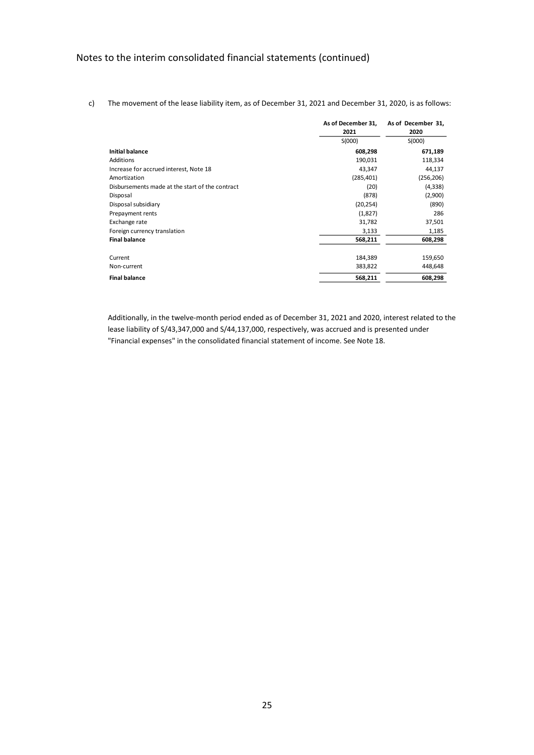c) The movement of the lease liability item, as of December 31, 2021 and December 31, 2020, is as follows:

|                                                 | As of December 31,<br>2021 | As of December 31,<br>2020 |
|-------------------------------------------------|----------------------------|----------------------------|
|                                                 | S(000)                     | S(000)                     |
| <b>Initial balance</b>                          | 608,298                    | 671,189                    |
| Additions                                       | 190,031                    | 118,334                    |
| Increase for accrued interest, Note 18          | 43,347                     | 44,137                     |
| Amortization                                    | (285, 401)                 | (256, 206)                 |
| Disbursements made at the start of the contract | (20)                       | (4, 338)                   |
| Disposal                                        | (878)                      | (2,900)                    |
| Disposal subsidiary                             | (20, 254)                  | (890)                      |
| Prepayment rents                                | (1,827)                    | 286                        |
| Exchange rate                                   | 31,782                     | 37,501                     |
| Foreign currency translation                    | 3,133                      | 1,185                      |
| <b>Final balance</b>                            | 568,211                    | 608,298                    |
| Current                                         | 184,389                    | 159,650                    |
| Non-current                                     | 383,822                    | 448,648                    |
| <b>Final balance</b>                            | 568,211                    | 608,298                    |

Additionally, in the twelve-month period ended as of December 31, 2021 and 2020, interest related to the lease liability of S/43,347,000 and S/44,137,000, respectively, was accrued and is presented under "Financial expenses" in the consolidated financial statement of income. See Note 18.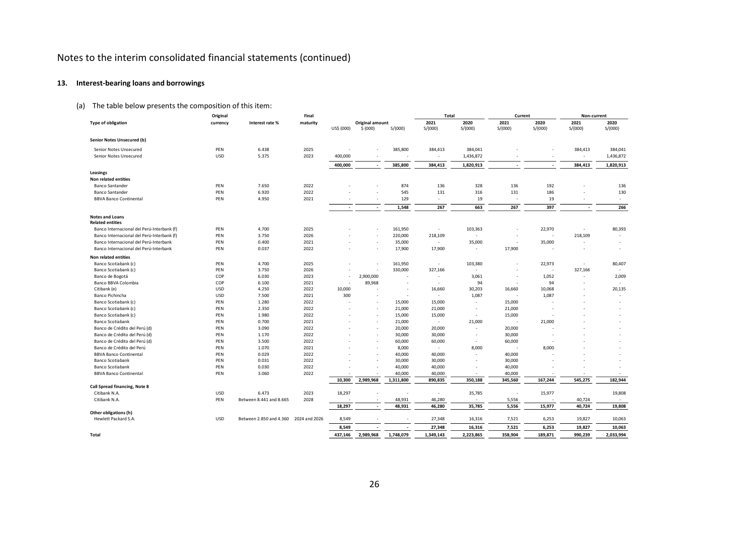# **13. Interest-bearing loans and borrowings**

# (a) The table below presents the composition of this item:

|                                                                                      | Original   |                         | Final         |                          |                             |                   | Total                     |                          | Current                  |                          | Non-current              |                          |
|--------------------------------------------------------------------------------------|------------|-------------------------|---------------|--------------------------|-----------------------------|-------------------|---------------------------|--------------------------|--------------------------|--------------------------|--------------------------|--------------------------|
| <b>Type of obligation</b>                                                            | currency   | Interest rate %         | maturity      | US\$ (000)               | Original amount<br>\$ (000) | S/(000)           | 2021<br>S/(000)           | 2020<br>S/(000)          | 2021<br>S/(000)          | 2020<br>S/(000)          | 2021<br>S/(000)          | 2020<br>S/(000)          |
| Senior Notes Unsecured (b)                                                           |            |                         |               |                          |                             |                   |                           |                          |                          |                          |                          |                          |
| Senior Notes Unsecured                                                               | PEN        | 6.438                   | 2025          |                          |                             | 385,800           | 384,413                   | 384,041                  |                          |                          | 384,413                  | 384,041                  |
| Senior Notes Unsecured                                                               | USD        | 5.375                   | 2023          | 400,000                  |                             |                   | $\overline{\phantom{a}}$  | 1,436,872                |                          |                          | $\overline{\phantom{a}}$ | 1,436,872                |
|                                                                                      |            |                         |               | 400,000                  |                             | 385,800           | 384,413                   | 1,820,913                | $\overline{\phantom{a}}$ | $\overline{\phantom{a}}$ | 384,413                  | 1,820,913                |
| Leasings                                                                             |            |                         |               |                          |                             |                   |                           |                          |                          |                          |                          |                          |
| Non related entities                                                                 |            |                         |               |                          |                             |                   |                           |                          |                          |                          |                          |                          |
| <b>Banco Santander</b>                                                               | PEN        | 7.650                   | 2022          |                          |                             | 874               | 136                       | 328                      | 136                      | 192                      |                          | 136                      |
| <b>Banco Santander</b>                                                               | PEN        | 6.920                   | 2022          |                          | ٠                           | 545               | 131                       | 316                      | 131                      | 186                      |                          | 130                      |
| <b>BBVA Banco Continental</b>                                                        | PEN        | 4.950                   | 2021          |                          |                             | 129               | ٠                         | 19                       |                          | 19                       |                          |                          |
|                                                                                      |            |                         |               | $\overline{\phantom{a}}$ | $\overline{\phantom{a}}$    | 1,548             | 267                       | 663                      | 267                      | 397                      |                          | 266                      |
| <b>Notes and Loans</b>                                                               |            |                         |               |                          |                             |                   |                           |                          |                          |                          |                          |                          |
| <b>Related entities</b>                                                              |            |                         |               |                          |                             |                   |                           |                          |                          |                          |                          |                          |
| Banco Internacional del Perú-Interbank (f)                                           | PEN        | 4.700                   | 2025          |                          |                             | 161,950           | $\overline{\phantom{a}}$  | 103,363<br>÷             |                          | 22,970<br>÷              |                          | 80,393                   |
| Banco Internacional del Perú-Interbank (f)<br>Banco Internacional del Perú-Interbank | PEN<br>PEN | 3.750<br>0.400          | 2026<br>2021  |                          |                             | 220,000<br>35,000 | 218,109<br>$\overline{a}$ | 35,000                   | ٠                        | 35,000                   | 218,109                  |                          |
| Banco Internacional del Perú-Interbank                                               | PEN        | 0.037                   | 2022          |                          |                             | 17,900            | 17,900                    | $\sim$                   | 17,900                   |                          |                          |                          |
| Non related entities                                                                 |            |                         |               |                          |                             |                   |                           |                          |                          |                          |                          |                          |
| Banco Scotiabank (c)                                                                 | PEN        | 4.700                   | 2025          |                          |                             | 161,950           | $\overline{\phantom{a}}$  | 103,380                  |                          | 22,973                   | $\sim$                   | 80,407                   |
| Banco Scotiabank (c)                                                                 | PEN        | 3.750                   | 2026          |                          |                             | 330,000           | 327,166                   | ÷                        |                          |                          | 327,166                  | $\sim$                   |
| Banco de Bogotá                                                                      | COP        | 6.030                   | 2023          |                          | 2,900,000                   |                   | $\overline{\phantom{a}}$  | 3,061                    | ÷                        | 1,052                    | $\overline{\phantom{a}}$ | 2,009                    |
| Banco BBVA Colombia                                                                  | COP        | 6.100                   | 2021          |                          | 89,968                      |                   | ٠                         | 94                       | ÷                        | 94                       |                          |                          |
| Citibank (e)                                                                         | USD        | 4.250                   | 2022          | 10,000                   |                             |                   | 16,660                    | 30,203                   | 16,660                   | 10,068                   |                          | 20,135                   |
| Banco Pichincha                                                                      | USD        | 7.500                   | 2021          | 300                      |                             |                   | $\overline{a}$            | 1,087                    | ٠                        | 1,087                    |                          | $\overline{\phantom{a}}$ |
| Banco Scotiabank (c)                                                                 | PEN        | 1.280                   | 2022          |                          |                             | 15,000            | 15,000                    | $\overline{\phantom{a}}$ | 15,000                   |                          |                          |                          |
| Banco Scotiabank (c)                                                                 | PEN        | 2.350                   | 2022          |                          |                             | 21,000            | 21,000                    | $\overline{\phantom{a}}$ | 21,000                   |                          |                          |                          |
| Banco Scotiabank (c)                                                                 | PEN        | 1.980                   | 2022          |                          |                             | 15,000            | 15,000                    | $\overline{\phantom{a}}$ | 15,000                   |                          |                          |                          |
| <b>Banco Scotiabank</b>                                                              | PEN        | 0.700                   | 2021          |                          |                             | 21,000            | $\overline{\phantom{a}}$  | 21,000                   | $\overline{\phantom{a}}$ | 21,000                   |                          |                          |
| Banco de Crédito del Perú (d)                                                        | PEN        | 3.090                   | 2022          |                          | ٠                           | 20,000            | 20,000                    | ÷                        | 20,000                   |                          |                          |                          |
| Banco de Crédito del Perú (d)                                                        | PEN        | 1.170                   | 2022          |                          |                             | 30,000            | 30,000                    | $\overline{\phantom{a}}$ | 30,000                   |                          |                          |                          |
| Banco de Crédito del Perú (d)                                                        | PEN        | 3.500                   | 2022          |                          | ٠                           | 60,000            | 60,000                    | ÷                        | 60,000                   |                          |                          |                          |
| Banco de Crédito del Perú                                                            | PEN        | 1.070                   | 2021          |                          |                             | 8,000             | $\overline{\phantom{a}}$  | 8,000                    | $\overline{\phantom{a}}$ | 8,000                    |                          |                          |
| <b>BBVA Banco Continental</b>                                                        | PEN        | 0.029                   | 2022          |                          | ٠                           | 40,000            | 40,000                    | ÷                        | 40,000                   |                          |                          |                          |
| <b>Banco Scotiabank</b>                                                              | PEN        | 0.031                   | 2022          |                          |                             | 30,000            | 30,000                    | ٠                        | 30,000                   |                          |                          |                          |
| <b>Banco Scotiabank</b>                                                              | PEN        | 0.030                   | 2022          |                          |                             | 40,000            | 40,000                    | $\overline{\phantom{a}}$ | 40,000                   |                          |                          |                          |
| <b>BBVA Banco Continental</b>                                                        | PEN        | 3.060                   | 2022          |                          |                             | 40,000            | 40,000                    | $\overline{\phantom{a}}$ | 40,000                   |                          |                          |                          |
| Call Spread financing, Note 8                                                        |            |                         |               | 10,300                   | 2,989,968                   | 1,311,800         | 890,835                   | 350,188                  | 345,560                  | 167,244                  | 545,275                  | 182,944                  |
| Citibank N.A.                                                                        | USD        | 6.473                   | 2023          | 18,297                   |                             |                   | $\overline{\phantom{a}}$  | 35,785                   | ٠                        | 15,977                   | $\overline{\phantom{a}}$ | 19,808                   |
| Citibank N.A.                                                                        | PEN        | Between 8.441 and 8.665 | 2028          |                          |                             | 48,931            | 46,280                    | $\overline{\phantom{a}}$ | 5,556                    |                          | 40,724                   | $\overline{\phantom{a}}$ |
|                                                                                      |            |                         |               | 18,297                   | $\overline{\phantom{a}}$    | 48,931            | 46,280                    | 35,785                   | 5,556                    | 15,977                   | 40,724                   | 19,808                   |
| Other obligations (h)                                                                |            |                         |               |                          |                             |                   |                           |                          |                          |                          |                          |                          |
| Hewlett Packard S.A.                                                                 | USD        | Between 2.850 and 4.360 | 2024 and 2026 | 8,549                    |                             |                   | 27,348                    | 16,316                   | 7,521                    | 6,253                    | 19,827                   | 10,063                   |
|                                                                                      |            |                         |               | 8,549                    |                             |                   | 27,348                    | 16,316                   | 7,521                    | 6,253                    | 19,827                   | 10,063                   |
| Total                                                                                |            |                         |               | 437,146                  | 2,989,968                   | 1,748,079         | 1,349,143                 | 2,223,865                | 358,904                  | 189,871                  | 990,239                  | 2,033,994                |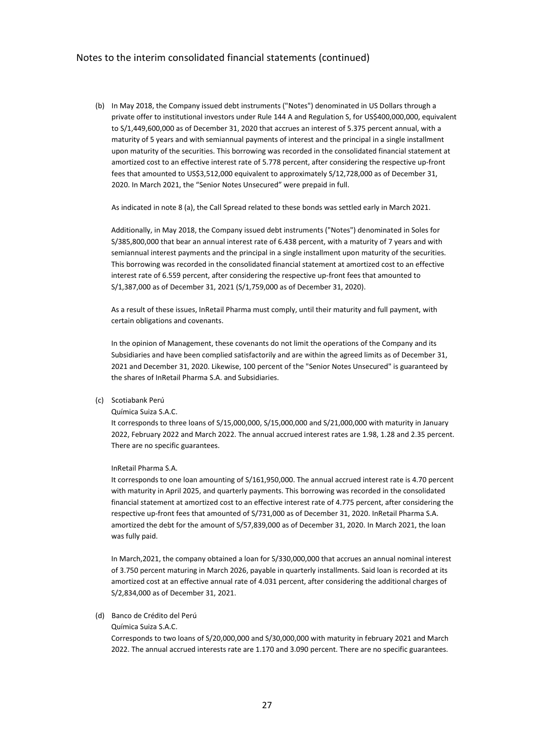(b) In May 2018, the Company issued debt instruments ("Notes") denominated in US Dollars through a private offer to institutional investors under Rule 144 A and Regulation S, for US\$400,000,000, equivalent to S/1,449,600,000 as of December 31, 2020 that accrues an interest of 5.375 percent annual, with a maturity of 5 years and with semiannual payments of interest and the principal in a single installment upon maturity of the securities. This borrowing was recorded in the consolidated financial statement at amortized cost to an effective interest rate of 5.778 percent, after considering the respective up-front fees that amounted to US\$3,512,000 equivalent to approximately S/12,728,000 as of December 31, 2020. In March 2021, the "Senior Notes Unsecured" were prepaid in full.

As indicated in note 8 (a), the Call Spread related to these bonds was settled early in March 2021.

Additionally, in May 2018, the Company issued debt instruments ("Notes") denominated in Soles for S/385,800,000 that bear an annual interest rate of 6.438 percent, with a maturity of 7 years and with semiannual interest payments and the principal in a single installment upon maturity of the securities. This borrowing was recorded in the consolidated financial statement at amortized cost to an effective interest rate of 6.559 percent, after considering the respective up-front fees that amounted to S/1,387,000 as of December 31, 2021 (S/1,759,000 as of December 31, 2020).

As a result of these issues, InRetail Pharma must comply, until their maturity and full payment, with certain obligations and covenants.

In the opinion of Management, these covenants do not limit the operations of the Company and its Subsidiaries and have been complied satisfactorily and are within the agreed limits as of December 31, 2021 and December 31, 2020. Likewise, 100 percent of the "Senior Notes Unsecured" is guaranteed by the shares of InRetail Pharma S.A. and Subsidiaries.

### (c) Scotiabank Perú

#### Química Suiza S.A.C.

It corresponds to three loans of S/15,000,000, S/15,000,000 and S/21,000,000 with maturity in January 2022, February 2022 and March 2022. The annual accrued interest rates are 1.98, 1.28 and 2.35 percent. There are no specific guarantees.

#### InRetail Pharma S.A.

It corresponds to one loan amounting of S/161,950,000. The annual accrued interest rate is 4.70 percent with maturity in April 2025, and quarterly payments. This borrowing was recorded in the consolidated financial statement at amortized cost to an effective interest rate of 4.775 percent, after considering the respective up-front fees that amounted of S/731,000 as of December 31, 2020. InRetail Pharma S.A. amortized the debt for the amount of S/57,839,000 as of December 31, 2020. In March 2021, the loan was fully paid.

In March,2021, the company obtained a loan for S/330,000,000 that accrues an annual nominal interest of 3.750 percent maturing in March 2026, payable in quarterly installments. Said loan is recorded at its amortized cost at an effective annual rate of 4.031 percent, after considering the additional charges of S/2,834,000 as of December 31, 2021.

#### (d) Banco de Crédito del Perú

#### Química Suiza S.A.C.

Corresponds to two loans of S/20,000,000 and S/30,000,000 with maturity in february 2021 and March 2022. The annual accrued interests rate are 1.170 and 3.090 percent. There are no specific guarantees.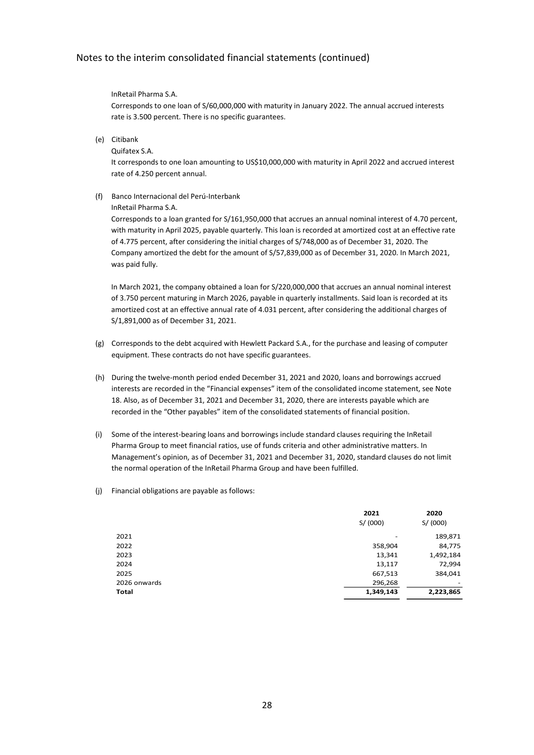### InRetail Pharma S.A.

Corresponds to one loan of S/60,000,000 with maturity in January 2022. The annual accrued interests rate is 3.500 percent. There is no specific guarantees.

(e) Citibank

Quifatex S.A.

It corresponds to one loan amounting to US\$10,000,000 with maturity in April 2022 and accrued interest rate of 4.250 percent annual.

#### (f) Banco Internacional del Perú-Interbank

#### InRetail Pharma S.A.

Corresponds to a loan granted for S/161,950,000 that accrues an annual nominal interest of 4.70 percent, with maturity in April 2025, payable quarterly. This loan is recorded at amortized cost at an effective rate of 4.775 percent, after considering the initial charges of S/748,000 as of December 31, 2020. The Company amortized the debt for the amount of S/57,839,000 as of December 31, 2020. In March 2021, was paid fully.

In March 2021, the company obtained a loan for S/220,000,000 that accrues an annual nominal interest of 3.750 percent maturing in March 2026, payable in quarterly installments. Said loan is recorded at its amortized cost at an effective annual rate of 4.031 percent, after considering the additional charges of S/1,891,000 as of December 31, 2021.

- (g) Corresponds to the debt acquired with Hewlett Packard S.A., for the purchase and leasing of computer equipment. These contracts do not have specific guarantees.
- (h) During the twelve-month period ended December 31, 2021 and 2020, loans and borrowings accrued interests are recorded in the "Financial expenses" item of the consolidated income statement, see Note 18. Also, as of December 31, 2021 and December 31, 2020, there are interests payable which are recorded in the "Other payables" item of the consolidated statements of financial position.
- (i) Some of the interest-bearing loans and borrowings include standard clauses requiring the InRetail Pharma Group to meet financial ratios, use of funds criteria and other administrative matters. In Management's opinion, as of December 31, 2021 and December 31, 2020, standard clauses do not limit the normal operation of the InRetail Pharma Group and have been fulfilled.
- (j) Financial obligations are payable as follows:

|              | 2021      | 2020      |
|--------------|-----------|-----------|
|              | S/(000)   | S/(000)   |
| 2021         | ٠         | 189,871   |
| 2022         | 358,904   | 84,775    |
| 2023         | 13,341    | 1,492,184 |
| 2024         | 13,117    | 72,994    |
| 2025         | 667,513   | 384,041   |
| 2026 onwards | 296,268   | -         |
| Total        | 1,349,143 | 2,223,865 |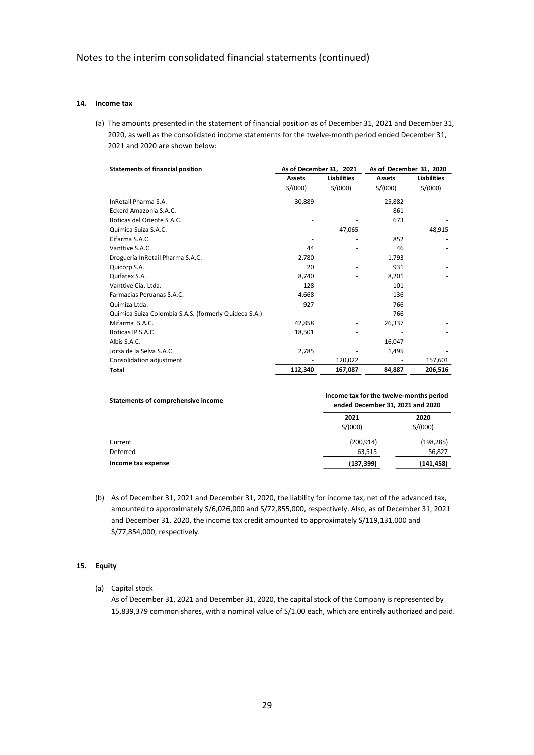### **14. Income tax**

(a) The amounts presented in the statement of financial position as of December 31, 2021 and December 31, 2020, as well as the consolidated income statements for the twelve-month period ended December 31, 2021 and 2020 are shown below:

| <b>Statements of financial position</b>               | As of December 31, 2021 |                    | As of December 31, 2020 |                    |  |
|-------------------------------------------------------|-------------------------|--------------------|-------------------------|--------------------|--|
|                                                       | <b>Assets</b>           | <b>Liabilities</b> | <b>Assets</b>           | <b>Liabilities</b> |  |
|                                                       | S/(000)                 | S/(000)            | S/(000)                 | S/(000)            |  |
| InRetail Pharma S.A.                                  | 30,889                  |                    | 25,882                  |                    |  |
| Eckerd Amazonia S.A.C.                                |                         |                    | 861                     |                    |  |
| Boticas del Oriente S.A.C.                            |                         |                    | 673                     |                    |  |
| Química Suiza S.A.C.                                  |                         | 47,065             |                         | 48,915             |  |
| Cifarma S.A.C.                                        |                         |                    | 852                     |                    |  |
| Vanttive S.A.C.                                       | 44                      |                    | 46                      |                    |  |
| Droguería InRetail Pharma S.A.C.                      | 2,780                   |                    | 1,793                   |                    |  |
| Quicorp S.A.                                          | 20                      |                    | 931                     |                    |  |
| Quifatex S.A.                                         | 8,740                   |                    | 8,201                   |                    |  |
| Vanttive Cía. Ltda.                                   | 128                     |                    | 101                     |                    |  |
| Farmacias Peruanas S.A.C.                             | 4,668                   |                    | 136                     |                    |  |
| Quimiza Ltda.                                         | 927                     |                    | 766                     |                    |  |
| Quimica Suiza Colombia S.A.S. (formerly Quideca S.A.) |                         |                    | 766                     |                    |  |
| Mifarma S.A.C.                                        | 42,858                  |                    | 26,337                  |                    |  |
| Boticas IP S.A.C.                                     | 18,501                  |                    |                         |                    |  |
| Albis S.A.C.                                          |                         |                    | 16,047                  |                    |  |
| Jorsa de la Selva S.A.C.                              | 2,785                   |                    | 1,495                   |                    |  |
| Consolidation adjustment                              |                         | 120,022            |                         | 157,601            |  |
| Total                                                 | 112,340                 | 167,087            | 84,887                  | 206,516            |  |

| Statements of comprehensive income | Income tax for the twelve-months period<br>ended December 31, 2021 and 2020 |                 |  |  |
|------------------------------------|-----------------------------------------------------------------------------|-----------------|--|--|
|                                    | 2021<br>S/(000)                                                             | 2020<br>S/(000) |  |  |
| Current                            | (200, 914)                                                                  | (198, 285)      |  |  |
| Deferred                           | 63,515                                                                      | 56,827          |  |  |
| Income tax expense                 | (137, 399)                                                                  | (141, 458)      |  |  |

(b) As of December 31, 2021 and December 31, 2020, the liability for income tax, net of the advanced tax, amounted to approximately S/6,026,000 and S/72,855,000, respectively. Also, as of December 31, 2021 and December 31, 2020, the income tax credit amounted to approximately S/119,131,000 and S/77,854,000, respectively.

### **15. Equity**

(a) Capital stock

As of December 31, 2021 and December 31, 2020, the capital stock of the Company is represented by 15,839,379 common shares, with a nominal value of S/1.00 each, which are entirely authorized and paid.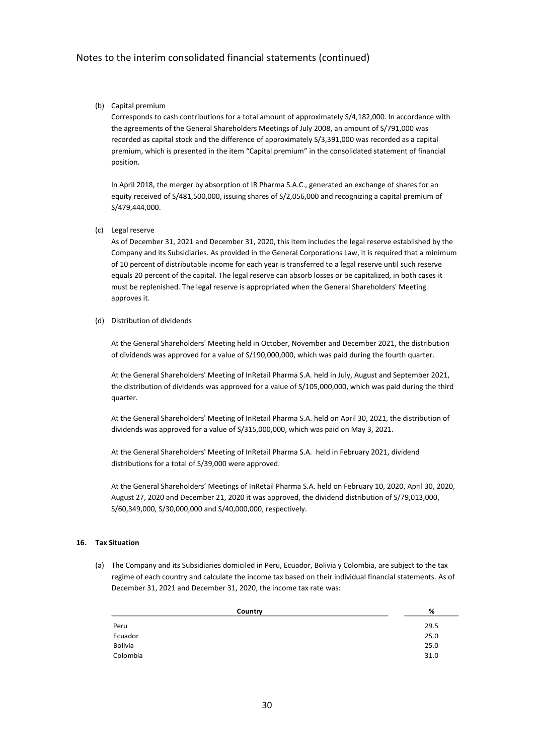(b) Capital premium

Corresponds to cash contributions for a total amount of approximately S/4,182,000. In accordance with the agreements of the General Shareholders Meetings of July 2008, an amount of S/791,000 was recorded as capital stock and the difference of approximately S/3,391,000 was recorded as a capital premium, which is presented in the item "Capital premium" in the consolidated statement of financial position.

In April 2018, the merger by absorption of IR Pharma S.A.C., generated an exchange of shares for an equity received of S/481,500,000, issuing shares of S/2,056,000 and recognizing a capital premium of S/479,444,000.

(c) Legal reserve

As of December 31, 2021 and December 31, 2020, this item includes the legal reserve established by the Company and its Subsidiaries. As provided in the General Corporations Law, it is required that a minimum of 10 percent of distributable income for each year is transferred to a legal reserve until such reserve equals 20 percent of the capital. The legal reserve can absorb losses or be capitalized, in both cases it must be replenished. The legal reserve is appropriated when the General Shareholders' Meeting approves it.

(d) Distribution of dividends

At the General Shareholders' Meeting held in October, November and December 2021, the distribution of dividends was approved for a value of S/190,000,000, which was paid during the fourth quarter.

At the General Shareholders' Meeting of InRetail Pharma S.A. held in July, August and September 2021, the distribution of dividends was approved for a value of S/105,000,000, which was paid during the third quarter.

At the General Shareholders' Meeting of InRetail Pharma S.A. held on April 30, 2021, the distribution of dividends was approved for a value of S/315,000,000, which was paid on May 3, 2021.

At the General Shareholders' Meeting of InRetail Pharma S.A. held in February 2021, dividend distributions for a total of S/39,000 were approved.

At the General Shareholders' Meetings of InRetail Pharma S.A. held on February 10, 2020, April 30, 2020, August 27, 2020 and December 21, 2020 it was approved, the dividend distribution of S/79,013,000, S/60,349,000, S/30,000,000 and S/40,000,000, respectively.

#### **16. Tax Situation**

(a) The Company and its Subsidiaries domiciled in Peru, Ecuador, Bolivia y Colombia, are subject to the tax regime of each country and calculate the income tax based on their individual financial statements. As of December 31, 2021 and December 31, 2020, the income tax rate was:

| Country        | %    |
|----------------|------|
| Peru           | 29.5 |
| Ecuador        | 25.0 |
| <b>Bolivia</b> | 25.0 |
| Colombia       | 31.0 |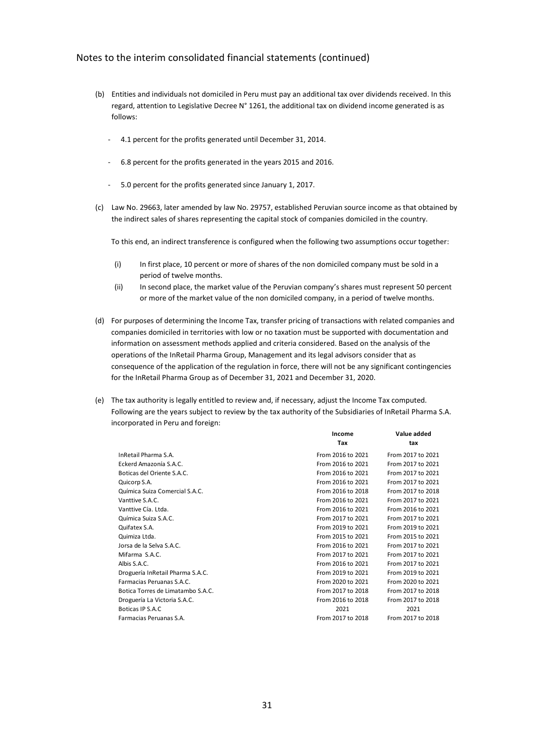- (b) Entities and individuals not domiciled in Peru must pay an additional tax over dividends received. In this regard, attention to Legislative Decree N° 1261, the additional tax on dividend income generated is as follows:
	- 4.1 percent for the profits generated until December 31, 2014.
	- 6.8 percent for the profits generated in the years 2015 and 2016.
	- 5.0 percent for the profits generated since January 1, 2017.
- (c) Law No. 29663, later amended by law No. 29757, established Peruvian source income as that obtained by the indirect sales of shares representing the capital stock of companies domiciled in the country.

To this end, an indirect transference is configured when the following two assumptions occur together:

- (i) In first place, 10 percent or more of shares of the non domiciled company must be sold in a period of twelve months.
- (ii) In second place, the market value of the Peruvian company's shares must represent 50 percent or more of the market value of the non domiciled company, in a period of twelve months.
- (d) For purposes of determining the Income Tax, transfer pricing of transactions with related companies and companies domiciled in territories with low or no taxation must be supported with documentation and information on assessment methods applied and criteria considered. Based on the analysis of the operations of the InRetail Pharma Group, Management and its legal advisors consider that as consequence of the application of the regulation in force, there will not be any significant contingencies for the InRetail Pharma Group as of December 31, 2021 and December 31, 2020.
- (e) The tax authority is legally entitled to review and, if necessary, adjust the Income Tax computed. Following are the years subject to review by the tax authority of the Subsidiaries of InRetail Pharma S.A. incorporated in Peru and foreign:

**Income Value added**

|                                   | ,,,,,,,,,         | value auueu       |
|-----------------------------------|-------------------|-------------------|
|                                   | Tax               | tax               |
| InRetail Pharma S.A.              | From 2016 to 2021 | From 2017 to 2021 |
| Eckerd Amazonía S.A.C.            | From 2016 to 2021 | From 2017 to 2021 |
| Boticas del Oriente S.A.C.        | From 2016 to 2021 | From 2017 to 2021 |
| Quicorp S.A.                      | From 2016 to 2021 | From 2017 to 2021 |
| Química Suiza Comercial S.A.C.    | From 2016 to 2018 | From 2017 to 2018 |
| Vanttive S.A.C.                   | From 2016 to 2021 | From 2017 to 2021 |
| Vanttive Cía. Ltda.               | From 2016 to 2021 | From 2016 to 2021 |
| Química Suiza S.A.C.              | From 2017 to 2021 | From 2017 to 2021 |
| Quifatex S.A.                     | From 2019 to 2021 | From 2019 to 2021 |
| Quimiza Ltda.                     | From 2015 to 2021 | From 2015 to 2021 |
| Jorsa de la Selva S.A.C.          | From 2016 to 2021 | From 2017 to 2021 |
| Mifarma S.A.C.                    | From 2017 to 2021 | From 2017 to 2021 |
| Albis S.A.C.                      | From 2016 to 2021 | From 2017 to 2021 |
| Droguería InRetail Pharma S.A.C.  | From 2019 to 2021 | From 2019 to 2021 |
| Farmacias Peruanas S.A.C.         | From 2020 to 2021 | From 2020 to 2021 |
| Botica Torres de Limatambo S.A.C. | From 2017 to 2018 | From 2017 to 2018 |
| Droguería La Victoria S.A.C.      | From 2016 to 2018 | From 2017 to 2018 |
| Boticas IP S.A.C                  | 2021              | 2021              |
| Farmacias Peruanas S.A.           | From 2017 to 2018 | From 2017 to 2018 |
|                                   |                   |                   |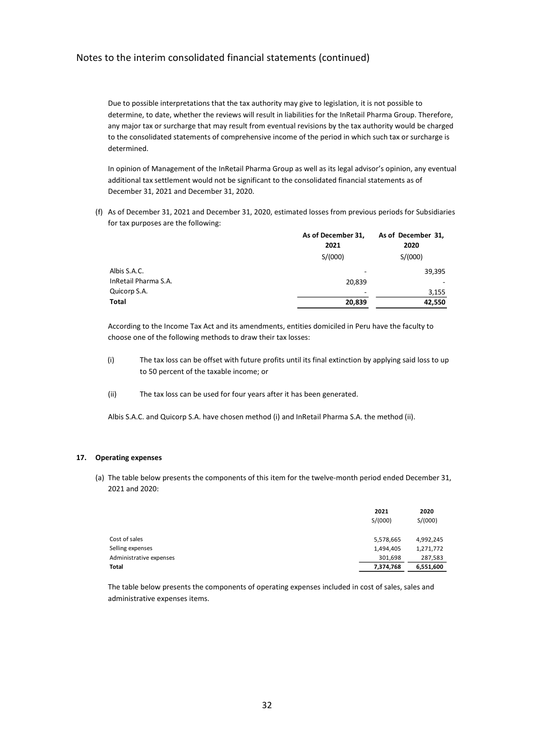Due to possible interpretations that the tax authority may give to legislation, it is not possible to determine, to date, whether the reviews will result in liabilities for the InRetail Pharma Group. Therefore, any major tax or surcharge that may result from eventual revisions by the tax authority would be charged to the consolidated statements of comprehensive income of the period in which such tax or surcharge is determined.

In opinion of Management of the InRetail Pharma Group as well as its legal advisor's opinion, any eventual additional tax settlement would not be significant to the consolidated financial statements as of December 31, 2021 and December 31, 2020.

(f) As of December 31, 2021 and December 31, 2020, estimated losses from previous periods for Subsidiaries for tax purposes are the following:

|                      | As of December 31,       | As of December 31, |
|----------------------|--------------------------|--------------------|
|                      | 2021                     | 2020               |
|                      | S/(000)                  | S/(000)            |
| Albis S.A.C.         | -                        | 39,395             |
| InRetail Pharma S.A. | 20,839                   |                    |
| Quicorp S.A.         | $\overline{\phantom{0}}$ | 3,155              |
| Total                | 20,839                   | 42,550             |

According to the Income Tax Act and its amendments, entities domiciled in Peru have the faculty to choose one of the following methods to draw their tax losses:

- (i) The tax loss can be offset with future profits until its final extinction by applying said loss to up to 50 percent of the taxable income; or
- (ii) The tax loss can be used for four years after it has been generated.

Albis S.A.C. and Quicorp S.A. have chosen method (i) and InRetail Pharma S.A. the method (ii).

#### **17. Operating expenses**

(a) The table below presents the components of this item for the twelve-month period ended December 31, 2021 and 2020:

|                         | 2021      | 2020      |
|-------------------------|-----------|-----------|
|                         | S/(000)   | S/(000)   |
| Cost of sales           | 5,578,665 | 4,992,245 |
| Selling expenses        | 1,494,405 | 1,271,772 |
| Administrative expenses | 301,698   | 287,583   |
| Total                   | 7,374,768 | 6,551,600 |

The table below presents the components of operating expenses included in cost of sales, sales and administrative expenses items.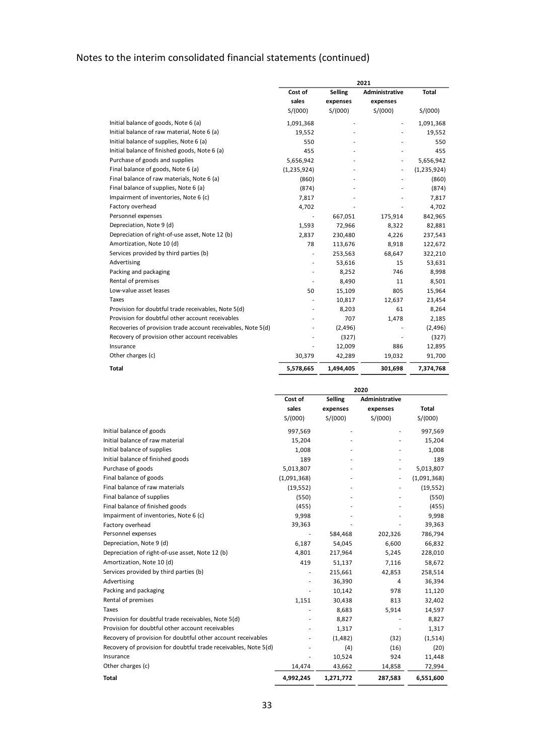|                                                              | 2021        |                |                          |               |
|--------------------------------------------------------------|-------------|----------------|--------------------------|---------------|
|                                                              | Cost of     | <b>Selling</b> | Administrative           | <b>Total</b>  |
|                                                              | sales       | expenses       | expenses                 |               |
|                                                              | S/(000)     | S/(000)        | S/(000)                  | S/(000)       |
| Initial balance of goods, Note 6 (a)                         | 1,091,368   |                |                          | 1,091,368     |
| Initial balance of raw material, Note 6 (a)                  | 19,552      |                |                          | 19,552        |
| Initial balance of supplies, Note 6 (a)                      | 550         |                |                          | 550           |
| Initial balance of finished goods, Note 6 (a)                | 455         |                |                          | 455           |
| Purchase of goods and supplies                               | 5,656,942   |                | $\overline{\phantom{a}}$ | 5,656,942     |
| Final balance of goods, Note 6 (a)                           | (1,235,924) |                |                          | (1, 235, 924) |
| Final balance of raw materials, Note 6 (a)                   | (860)       |                |                          | (860)         |
| Final balance of supplies, Note 6 (a)                        | (874)       |                |                          | (874)         |
| Impairment of inventories, Note 6 (c)                        | 7,817       |                |                          | 7,817         |
| Factory overhead                                             | 4,702       |                |                          | 4,702         |
| Personnel expenses                                           |             | 667,051        | 175,914                  | 842,965       |
| Depreciation, Note 9 (d)                                     | 1,593       | 72,966         | 8,322                    | 82,881        |
| Depreciation of right-of-use asset, Note 12 (b)              | 2,837       | 230,480        | 4,226                    | 237,543       |
| Amortization, Note 10 (d)                                    | 78          | 113,676        | 8,918                    | 122,672       |
| Services provided by third parties (b)                       | ٠           | 253,563        | 68,647                   | 322,210       |
| Advertising                                                  |             | 53,616         | 15                       | 53,631        |
| Packing and packaging                                        |             | 8,252          | 746                      | 8,998         |
| Rental of premises                                           |             | 8,490          | 11                       | 8,501         |
| Low-value asset leases                                       | 50          | 15,109         | 805                      | 15,964        |
| Taxes                                                        |             | 10,817         | 12,637                   | 23,454        |
| Provision for doubtful trade receivables, Note 5(d)          |             | 8,203          | 61                       | 8,264         |
| Provision for doubtful other account receivables             |             | 707            | 1,478                    | 2,185         |
| Recoveries of provision trade account receivables, Note 5(d) |             | (2,496)        |                          | (2,496)       |
| Recovery of provision other account receivables              |             | (327)          |                          | (327)         |
| Insurance                                                    |             | 12,009         | 886                      | 12,895        |
| Other charges (c)                                            | 30,379      | 42,289         | 19,032                   | 91,700        |
| Total                                                        | 5,578,665   | 1,494,405      | 301,698                  | 7,374,768     |

|                                                                 | 2020        |           |                |              |
|-----------------------------------------------------------------|-------------|-----------|----------------|--------------|
|                                                                 | Cost of     | Selling   | Administrative |              |
|                                                                 | sales       | expenses  | expenses       | <b>Total</b> |
|                                                                 | S/(000)     | S/(000)   | S/(000)        | S/(000)      |
| Initial balance of goods                                        | 997,569     |           |                | 997,569      |
| Initial balance of raw material                                 | 15,204      |           |                | 15,204       |
| Initial balance of supplies                                     | 1,008       |           |                | 1,008        |
| Initial balance of finished goods                               | 189         |           |                | 189          |
| Purchase of goods                                               | 5,013,807   |           |                | 5,013,807    |
| Final balance of goods                                          | (1,091,368) |           |                | (1,091,368)  |
| Final balance of raw materials                                  | (19, 552)   |           |                | (19, 552)    |
| Final balance of supplies                                       | (550)       |           |                | (550)        |
| Final balance of finished goods                                 | (455)       |           |                | (455)        |
| Impairment of inventories, Note 6 (c)                           | 9,998       |           |                | 9,998        |
| Factory overhead                                                | 39,363      |           |                | 39,363       |
| Personnel expenses                                              |             | 584,468   | 202,326        | 786,794      |
| Depreciation, Note 9 (d)                                        | 6,187       | 54,045    | 6,600          | 66,832       |
| Depreciation of right-of-use asset, Note 12 (b)                 | 4,801       | 217,964   | 5,245          | 228,010      |
| Amortization, Note 10 (d)                                       | 419         | 51,137    | 7,116          | 58,672       |
| Services provided by third parties (b)                          |             | 215,661   | 42,853         | 258,514      |
| Advertising                                                     |             | 36,390    | 4              | 36,394       |
| Packing and packaging                                           |             | 10,142    | 978            | 11,120       |
| Rental of premises                                              | 1,151       | 30,438    | 813            | 32,402       |
| <b>Taxes</b>                                                    |             | 8,683     | 5,914          | 14,597       |
| Provision for doubtful trade receivables, Note 5(d)             |             | 8,827     |                | 8,827        |
| Provision for doubtful other account receivables                |             | 1,317     |                | 1,317        |
| Recovery of provision for doubtful other account receivables    |             | (1, 482)  | (32)           | (1,514)      |
| Recovery of provision for doubtful trade receivables, Note 5(d) |             | (4)       | (16)           | (20)         |
| Insurance                                                       |             | 10,524    | 924            | 11,448       |
| Other charges (c)                                               | 14,474      | 43,662    | 14,858         | 72,994       |
| Total                                                           | 4,992,245   | 1,271,772 | 287,583        | 6,551,600    |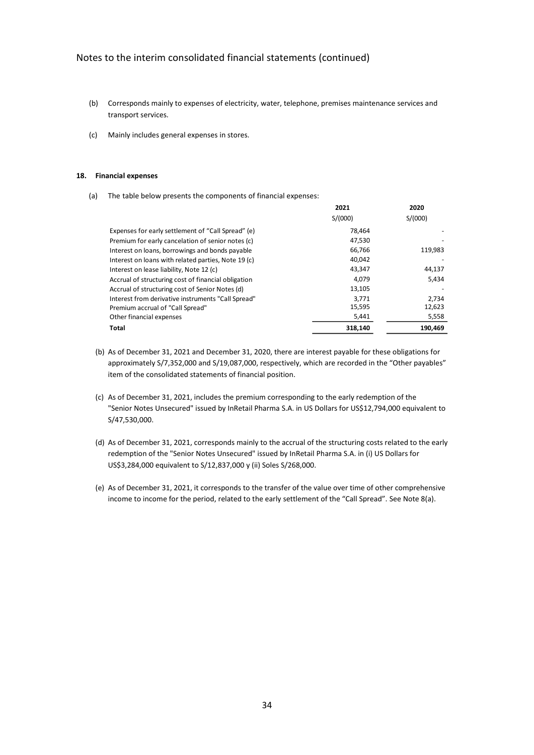- (b) Corresponds mainly to expenses of electricity, water, telephone, premises maintenance services and transport services.
- (c) Mainly includes general expenses in stores.

#### **18. Financial expenses**

(a) The table below presents the components of financial expenses:

|                                                     | 2021    | 2020    |
|-----------------------------------------------------|---------|---------|
|                                                     | S/(000) | S/(000) |
| Expenses for early settlement of "Call Spread" (e)  | 78.464  |         |
| Premium for early cancelation of senior notes (c)   | 47.530  |         |
| Interest on loans, borrowings and bonds payable     | 66,766  | 119,983 |
| Interest on loans with related parties, Note 19 (c) | 40,042  |         |
| Interest on lease liability, Note 12 (c)            | 43.347  | 44,137  |
| Accrual of structuring cost of financial obligation | 4.079   | 5,434   |
| Accrual of structuring cost of Senior Notes (d)     | 13,105  |         |
| Interest from derivative instruments "Call Spread"  | 3.771   | 2.734   |
| Premium accrual of "Call Spread"                    | 15,595  | 12,623  |
| Other financial expenses                            | 5,441   | 5,558   |
| Total                                               | 318.140 | 190.469 |

- (b) As of December 31, 2021 and December 31, 2020, there are interest payable for these obligations for approximately S/7,352,000 and S/19,087,000, respectively, which are recorded in the "Other payables" item of the consolidated statements of financial position.
- (c) As of December 31, 2021, includes the premium corresponding to the early redemption of the "Senior Notes Unsecured" issued by InRetail Pharma S.A. in US Dollars for US\$12,794,000 equivalent to S/47,530,000.
- (d) As of December 31, 2021, corresponds mainly to the accrual of the structuring costs related to the early redemption of the "Senior Notes Unsecured" issued by InRetail Pharma S.A. in (i) US Dollars for US\$3,284,000 equivalent to S/12,837,000 y (ii) Soles S/268,000.
- (e) As of December 31, 2021, it corresponds to the transfer of the value over time of other comprehensive income to income for the period, related to the early settlement of the "Call Spread". See Note 8(a).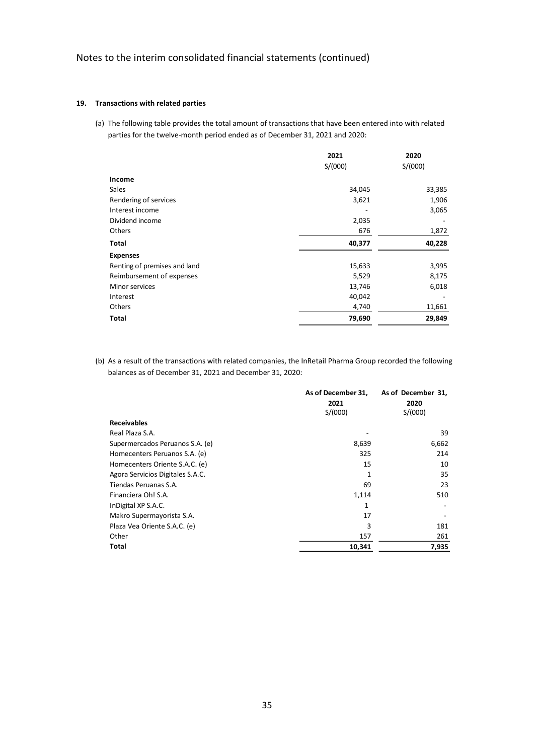### **19. Transactions with related parties**

(a) The following table provides the total amount of transactions that have been entered into with related parties for the twelve-month period ended as of December 31, 2021 and 2020:

|                              | 2021    | 2020    |
|------------------------------|---------|---------|
|                              | S/(000) | S/(000) |
| Income                       |         |         |
| <b>Sales</b>                 | 34,045  | 33,385  |
| Rendering of services        | 3,621   | 1,906   |
| Interest income              |         | 3,065   |
| Dividend income              | 2,035   |         |
| Others                       | 676     | 1,872   |
| Total                        | 40,377  | 40,228  |
| <b>Expenses</b>              |         |         |
| Renting of premises and land | 15,633  | 3,995   |
| Reimbursement of expenses    | 5,529   | 8,175   |
| Minor services               | 13,746  | 6,018   |
| Interest                     | 40,042  |         |
| Others                       | 4,740   | 11,661  |
| Total                        | 79,690  | 29,849  |
|                              |         |         |

(b) As a result of the transactions with related companies, the InRetail Pharma Group recorded the following balances as of December 31, 2021 and December 31, 2020:

|                                  | As of December 31, | As of December 31, |
|----------------------------------|--------------------|--------------------|
|                                  | 2021               | 2020               |
|                                  | S/(000)            | S/(000)            |
| <b>Receivables</b>               |                    |                    |
| Real Plaza S.A.                  |                    | 39                 |
| Supermercados Peruanos S.A. (e)  | 8,639              | 6,662              |
| Homecenters Peruanos S.A. (e)    | 325                | 214                |
| Homecenters Oriente S.A.C. (e)   | 15                 | 10                 |
| Agora Servicios Digitales S.A.C. | 1                  | 35                 |
| Tiendas Peruanas S.A.            | 69                 | 23                 |
| Financiera Oh! S.A.              | 1,114              | 510                |
| InDigital XP S.A.C.              | 1                  |                    |
| Makro Supermayorista S.A.        | 17                 |                    |
| Plaza Vea Oriente S.A.C. (e)     | 3                  | 181                |
| Other                            | 157                | 261                |
| Total                            | 10,341             | 7,935              |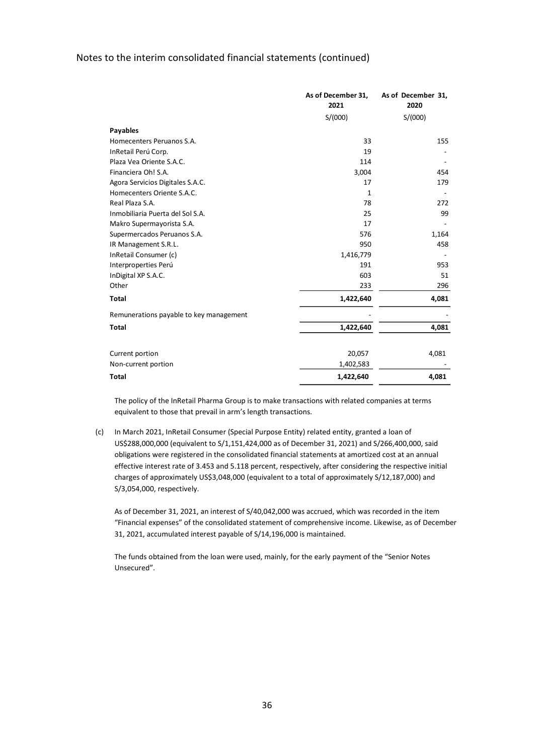|                                         | As of December 31,<br>2021 | As of December 31,<br>2020 |
|-----------------------------------------|----------------------------|----------------------------|
|                                         | S/(000)                    | S/(000)                    |
| <b>Payables</b>                         |                            |                            |
| Homecenters Peruanos S.A.               | 33                         | 155                        |
| InRetail Perú Corp.                     | 19                         |                            |
| Plaza Vea Oriente S.A.C.                | 114                        |                            |
| Financiera Oh! S.A.                     | 3,004                      | 454                        |
| Agora Servicios Digitales S.A.C.        | 17                         | 179                        |
| Homecenters Oriente S.A.C.              | 1                          |                            |
| Real Plaza S.A.                         | 78                         | 272                        |
| Inmobiliaria Puerta del Sol S.A.        | 25                         | 99                         |
| Makro Supermayorista S.A.               | 17                         |                            |
| Supermercados Peruanos S.A.             | 576                        | 1,164                      |
| IR Management S.R.L.                    | 950                        | 458                        |
| InRetail Consumer (c)                   | 1,416,779                  |                            |
| Interproperties Perú                    | 191                        | 953                        |
| InDigital XP S.A.C.                     | 603                        | 51                         |
| Other                                   | 233                        | 296                        |
| <b>Total</b>                            | 1,422,640                  | 4,081                      |
| Remunerations payable to key management |                            |                            |
| <b>Total</b>                            | 1,422,640                  | 4,081                      |
| Current portion                         | 20,057                     | 4,081                      |
|                                         |                            |                            |
| Non-current portion                     | 1,402,583                  |                            |
| <b>Total</b>                            | 1,422,640                  | 4,081                      |

The policy of the InRetail Pharma Group is to make transactions with related companies at terms equivalent to those that prevail in arm's length transactions.

(c) In March 2021, InRetail Consumer (Special Purpose Entity) related entity, granted a loan of US\$288,000,000 (equivalent to S/1,151,424,000 as of December 31, 2021) and S/266,400,000, said obligations were registered in the consolidated financial statements at amortized cost at an annual effective interest rate of 3.453 and 5.118 percent, respectively, after considering the respective initial charges of approximately US\$3,048,000 (equivalent to a total of approximately S/12,187,000) and S/3,054,000, respectively.

As of December 31, 2021, an interest of S/40,042,000 was accrued, which was recorded in the item "Financial expenses" of the consolidated statement of comprehensive income. Likewise, as of December 31, 2021, accumulated interest payable of S/14,196,000 is maintained.

The funds obtained from the loan were used, mainly, for the early payment of the "Senior Notes Unsecured".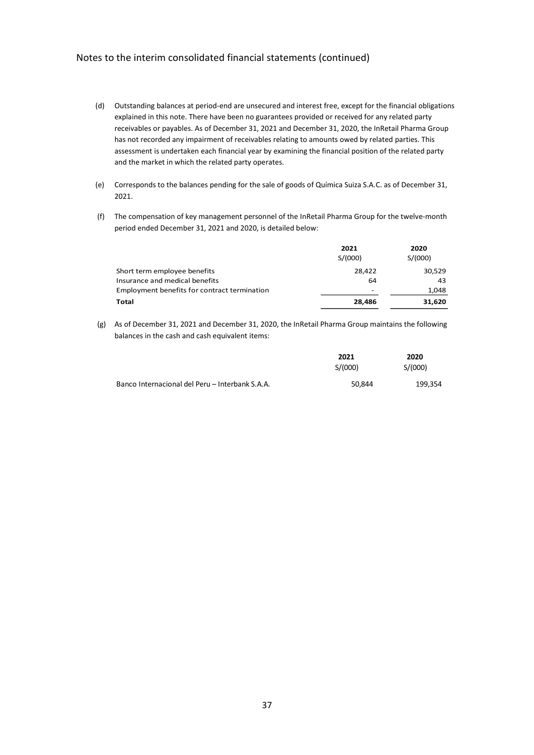- (d) Outstanding balances at period-end are unsecured and interest free, except for the financial obligations explained in this note. There have been no guarantees provided or received for any related party receivables or payables. As of December 31, 2021 and December 31, 2020, the InRetail Pharma Group has not recorded any impairment of receivables relating to amounts owed by related parties. This assessment is undertaken each financial year by examining the financial position of the related party and the market in which the related party operates.
- (e) Corresponds to the balances pending for the sale of goods of Química Suiza S.A.C. as of December 31, 2021.
- (f) The compensation of key management personnel of the InRetail Pharma Group for the twelve-month period ended December 31, 2021 and 2020, is detailed below:

|                                              | 2021    | 2020    |
|----------------------------------------------|---------|---------|
|                                              | S/(000) | S/(000) |
| Short term employee benefits                 | 28,422  | 30,529  |
| Insurance and medical benefits               | 64      | 43      |
| Employment benefits for contract termination | ۰       | 1,048   |
| Total                                        | 28,486  | 31,620  |

(g) As of December 31, 2021 and December 31, 2020, the InRetail Pharma Group maintains the following balances in the cash and cash equivalent items:

|                                                 | 2021    | 2020    |  |
|-------------------------------------------------|---------|---------|--|
|                                                 | S/(000) | S/(000) |  |
| Banco Internacional del Peru – Interbank S.A.A. | 50.844  | 199,354 |  |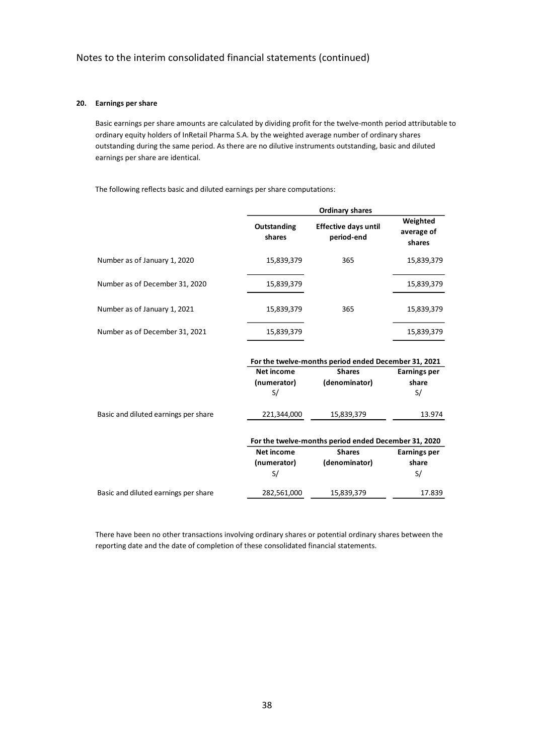### **20. Earnings per share**

Basic earnings per share amounts are calculated by dividing profit for the twelve-month period attributable to ordinary equity holders of InRetail Pharma S.A. by the weighted average number of ordinary shares outstanding during the same period. As there are no dilutive instruments outstanding, basic and diluted earnings per share are identical.

The following reflects basic and diluted earnings per share computations:

|                                | <b>Ordinary shares</b> |                                           |                                  |  |
|--------------------------------|------------------------|-------------------------------------------|----------------------------------|--|
|                                | Outstanding<br>shares  | <b>Effective days until</b><br>period-end | Weighted<br>average of<br>shares |  |
| Number as of January 1, 2020   | 15,839,379             | 365                                       | 15,839,379                       |  |
| Number as of December 31, 2020 | 15,839,379             |                                           | 15,839,379                       |  |
| Number as of January 1, 2021   | 15,839,379             | 365                                       | 15,839,379                       |  |
| Number as of December 31, 2021 | 15,839,379             |                                           | 15,839,379                       |  |

|                                      | For the twelve-months period ended December 31, 2021 |                                                      |                     |  |
|--------------------------------------|------------------------------------------------------|------------------------------------------------------|---------------------|--|
|                                      | Net income                                           | <b>Shares</b>                                        | <b>Earnings per</b> |  |
|                                      | (numerator)                                          | (denominator)                                        | share               |  |
|                                      | S/                                                   |                                                      | S/                  |  |
| Basic and diluted earnings per share | 221,344,000                                          | 15,839,379                                           | 13.974              |  |
|                                      |                                                      | For the twelve-months period ended December 31, 2020 |                     |  |
|                                      | <b>Net income</b>                                    | <b>Shares</b>                                        | <b>Earnings per</b> |  |
|                                      | (numerator)                                          | (denominator)                                        | share               |  |
|                                      | S/                                                   |                                                      | S/                  |  |
| Basic and diluted earnings per share | 282,561,000                                          | 15,839,379                                           | 17.839              |  |

There have been no other transactions involving ordinary shares or potential ordinary shares between the reporting date and the date of completion of these consolidated financial statements.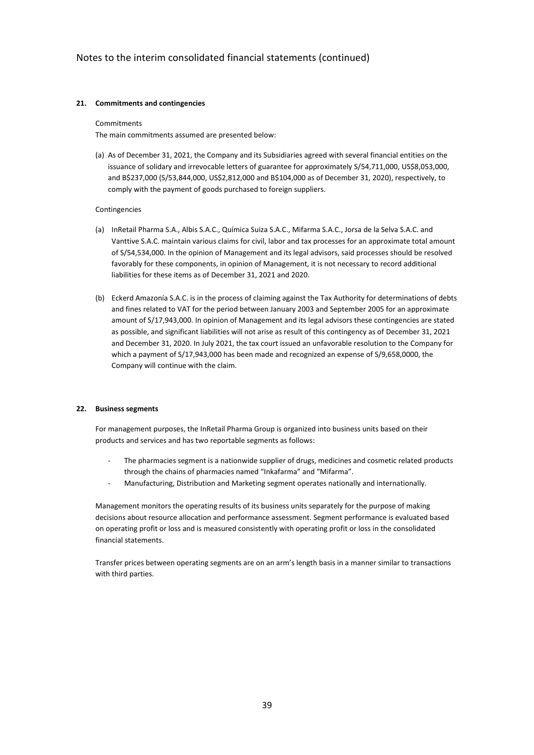### **21. Commitments and contingencies**

#### Commitments

The main commitments assumed are presented below:

(a) As of December 31, 2021, the Company and its Subsidiaries agreed with several financial entities on the issuance of solidary and irrevocable letters of guarantee for approximately S/54,711,000, US\$8,053,000, and B\$237,000 (S/53,844,000, US\$2,812,000 and B\$104,000 as of December 31, 2020), respectively, to comply with the payment of goods purchased to foreign suppliers.

#### Contingencies

- (a) InRetail Pharma S.A., Albis S.A.C., Química Suiza S.A.C., Mifarma S.A.C., Jorsa de la Selva S.A.C. and Vanttive S.A.C. maintain various claims for civil, labor and tax processes for an approximate total amount of S/54,534,000. In the opinion of Management and its legal advisors, said processes should be resolved favorably for these components, in opinion of Management, it is not necessary to record additional liabilities for these items as of December 31, 2021 and 2020.
- (b) Eckerd Amazonía S.A.C. is in the process of claiming against the Tax Authority for determinations of debts and fines related to VAT for the period between January 2003 and September 2005 for an approximate amount of S/17,943,000. In opinion of Management and its legal advisors these contingencies are stated as possible, and significant liabilities will not arise as result of this contingency as of December 31, 2021 and December 31, 2020. In July 2021, the tax court issued an unfavorable resolution to the Company for which a payment of S/17,943,000 has been made and recognized an expense of S/9,658,0000, the Company will continue with the claim.

#### **22. Business segments**

For management purposes, the InRetail Pharma Group is organized into business units based on their products and services and has two reportable segments as follows:

- The pharmacies segment is a nationwide supplier of drugs, medicines and cosmetic related products through the chains of pharmacies named "Inkafarma" and "Mifarma".
- Manufacturing, Distribution and Marketing segment operates nationally and internationally.

Management monitors the operating results of its business units separately for the purpose of making decisions about resource allocation and performance assessment. Segment performance is evaluated based on operating profit or loss and is measured consistently with operating profit or loss in the consolidated financial statements.

Transfer prices between operating segments are on an arm's length basis in a manner similar to transactions with third parties.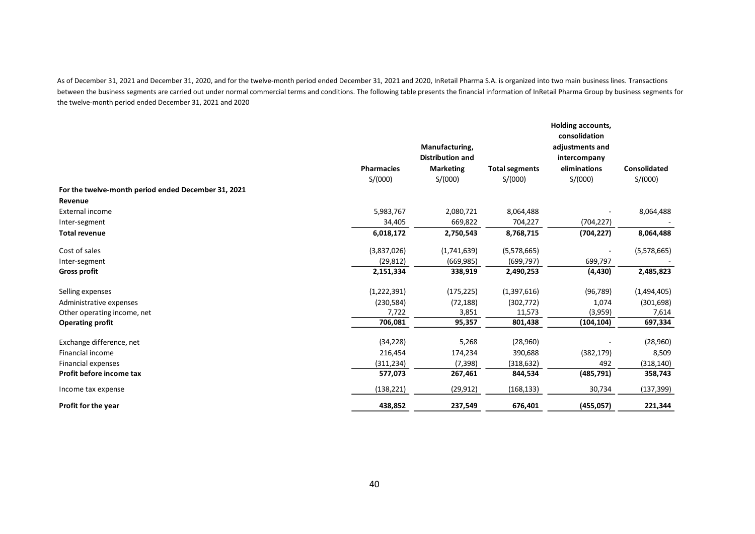As of December 31, 2021 and December 31, 2020, and for the twelve-month period ended December 31, 2021 and 2020, InRetail Pharma S.A. is organized into two main business lines. Transactions between the business segments are carried out under normal commercial terms and conditions. The following table presents the financial information of InRetail Pharma Group by business segments for the twelve-month period ended December 31, 2021 and 2020

|                                                     | <b>Pharmacies</b><br>S/(000) | Manufacturing,<br><b>Distribution and</b><br><b>Marketing</b><br>S/(000) | <b>Total segments</b><br>S/(000) | Holding accounts,<br>consolidation<br>adjustments and<br>intercompany<br>eliminations<br>S/(000) | <b>Consolidated</b><br>S/(000) |
|-----------------------------------------------------|------------------------------|--------------------------------------------------------------------------|----------------------------------|--------------------------------------------------------------------------------------------------|--------------------------------|
| For the twelve-month period ended December 31, 2021 |                              |                                                                          |                                  |                                                                                                  |                                |
| Revenue                                             |                              |                                                                          |                                  |                                                                                                  |                                |
| <b>External income</b>                              | 5,983,767                    | 2,080,721                                                                | 8,064,488                        |                                                                                                  | 8,064,488                      |
| Inter-segment                                       | 34,405                       | 669,822                                                                  | 704,227                          | (704, 227)                                                                                       |                                |
| <b>Total revenue</b>                                | 6,018,172                    | 2,750,543                                                                | 8,768,715                        | (704, 227)                                                                                       | 8,064,488                      |
| Cost of sales                                       | (3,837,026)                  | (1,741,639)                                                              | (5,578,665)                      |                                                                                                  | (5,578,665)                    |
| Inter-segment                                       | (29, 812)                    | (669, 985)                                                               | (699, 797)                       | 699,797                                                                                          |                                |
| <b>Gross profit</b>                                 | 2,151,334                    | 338,919                                                                  | 2,490,253                        | (4, 430)                                                                                         | 2,485,823                      |
| Selling expenses                                    | (1, 222, 391)                | (175, 225)                                                               | (1,397,616)                      | (96, 789)                                                                                        | (1,494,405)                    |
| Administrative expenses                             | (230, 584)                   | (72, 188)                                                                | (302, 772)                       | 1,074                                                                                            | (301, 698)                     |
| Other operating income, net                         | 7,722                        | 3,851                                                                    | 11,573                           | (3,959)                                                                                          | 7,614                          |
| <b>Operating profit</b>                             | 706,081                      | 95,357                                                                   | 801,438                          | (104, 104)                                                                                       | 697,334                        |
| Exchange difference, net                            | (34, 228)                    | 5,268                                                                    | (28,960)                         |                                                                                                  | (28,960)                       |
| Financial income                                    | 216,454                      | 174,234                                                                  | 390,688                          | (382, 179)                                                                                       | 8,509                          |
| <b>Financial expenses</b>                           | (311, 234)                   | (7, 398)                                                                 | (318, 632)                       | 492                                                                                              | (318, 140)                     |
| Profit before income tax                            | 577,073                      | 267,461                                                                  | 844,534                          | (485, 791)                                                                                       | 358,743                        |
| Income tax expense                                  | (138, 221)                   | (29, 912)                                                                | (168, 133)                       | 30,734                                                                                           | (137, 399)                     |
| Profit for the year                                 | 438,852                      | 237,549                                                                  | 676,401                          | (455, 057)                                                                                       | 221,344                        |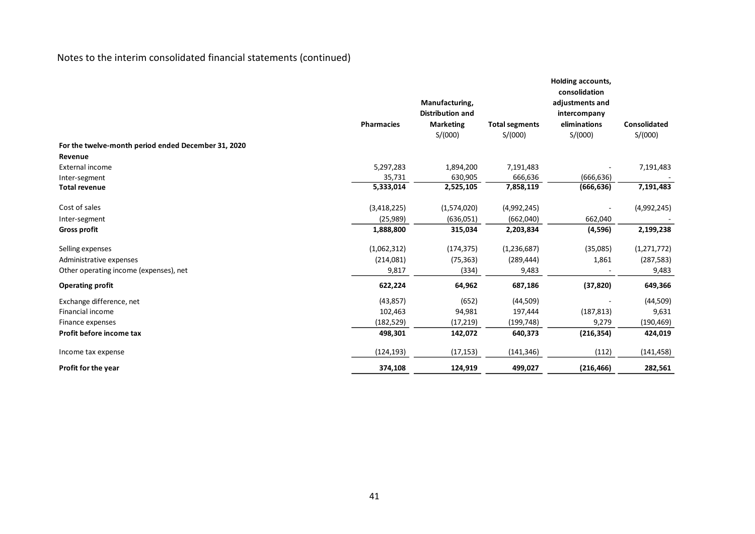|                                                     |                   | Manufacturing,          |                       | Holding accounts,<br>consolidation<br>adjustments and |                     |
|-----------------------------------------------------|-------------------|-------------------------|-----------------------|-------------------------------------------------------|---------------------|
|                                                     |                   | <b>Distribution and</b> |                       | intercompany                                          |                     |
|                                                     | <b>Pharmacies</b> | <b>Marketing</b>        | <b>Total segments</b> | eliminations                                          | <b>Consolidated</b> |
|                                                     |                   | S/(000)                 | S/(000)               | S/(000)                                               | S/(000)             |
| For the twelve-month period ended December 31, 2020 |                   |                         |                       |                                                       |                     |
| Revenue                                             |                   |                         |                       |                                                       |                     |
| External income                                     | 5,297,283         | 1,894,200               | 7,191,483             |                                                       | 7,191,483           |
| Inter-segment                                       | 35,731            | 630,905                 | 666,636               | (666, 636)                                            |                     |
| <b>Total revenue</b>                                | 5,333,014         | 2,525,105               | 7,858,119             | (666, 636)                                            | 7,191,483           |
| Cost of sales                                       | (3,418,225)       | (1,574,020)             | (4,992,245)           |                                                       | (4,992,245)         |
| Inter-segment                                       | (25,989)          | (636,051)               | (662,040)             | 662,040                                               |                     |
| <b>Gross profit</b>                                 | 1,888,800         | 315,034                 | 2,203,834             | (4,596)                                               | 2,199,238           |
| Selling expenses                                    | (1,062,312)       | (174, 375)              | (1,236,687)           | (35,085)                                              | (1, 271, 772)       |
| Administrative expenses                             | (214,081)         | (75, 363)               | (289, 444)            | 1,861                                                 | (287, 583)          |
| Other operating income (expenses), net              | 9,817             | (334)                   | 9,483                 |                                                       | 9,483               |
| <b>Operating profit</b>                             | 622,224           | 64,962                  | 687,186               | (37, 820)                                             | 649,366             |
| Exchange difference, net                            | (43, 857)         | (652)                   | (44, 509)             |                                                       | (44,509)            |
| Financial income                                    | 102,463           | 94,981                  | 197,444               | (187, 813)                                            | 9,631               |
| Finance expenses                                    | (182, 529)        | (17, 219)               | (199, 748)            | 9,279                                                 | (190, 469)          |
| Profit before income tax                            | 498,301           | 142,072                 | 640,373               | (216, 354)                                            | 424,019             |
| Income tax expense                                  | (124, 193)        | (17, 153)               | (141, 346)            | (112)                                                 | (141, 458)          |
| Profit for the year                                 | 374,108           | 124,919                 | 499,027               | (216, 466)                                            | 282,561             |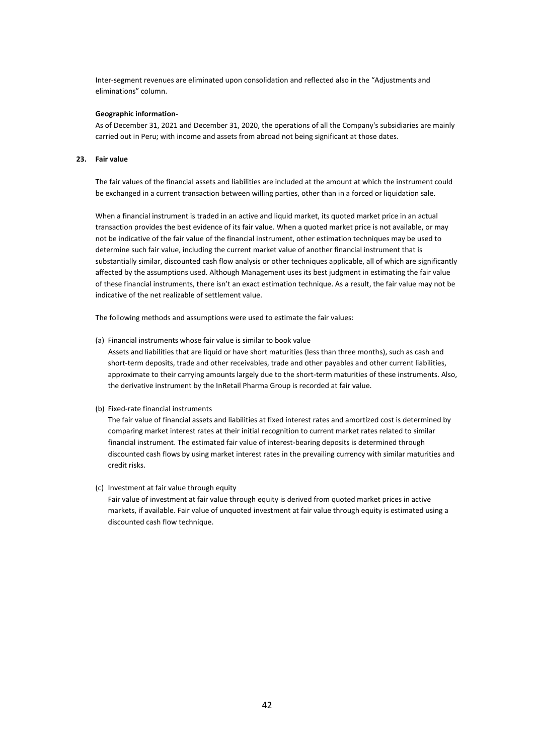Inter-segment revenues are eliminated upon consolidation and reflected also in the "Adjustments and eliminations" column.

#### **Geographic information-**

As of December 31, 2021 and December 31, 2020, the operations of all the Company's subsidiaries are mainly carried out in Peru; with income and assets from abroad not being significant at those dates.

#### **23. Fair value**

The fair values of the financial assets and liabilities are included at the amount at which the instrument could be exchanged in a current transaction between willing parties, other than in a forced or liquidation sale.

When a financial instrument is traded in an active and liquid market, its quoted market price in an actual transaction provides the best evidence of its fair value. When a quoted market price is not available, or may not be indicative of the fair value of the financial instrument, other estimation techniques may be used to determine such fair value, including the current market value of another financial instrument that is substantially similar, discounted cash flow analysis or other techniques applicable, all of which are significantly affected by the assumptions used. Although Management uses its best judgment in estimating the fair value of these financial instruments, there isn't an exact estimation technique. As a result, the fair value may not be indicative of the net realizable of settlement value.

The following methods and assumptions were used to estimate the fair values:

- (a) Financial instruments whose fair value is similar to book value Assets and liabilities that are liquid or have short maturities (less than three months), such as cash and short-term deposits, trade and other receivables, trade and other payables and other current liabilities, approximate to their carrying amounts largely due to the short-term maturities of these instruments. Also, the derivative instrument by the InRetail Pharma Group is recorded at fair value.
- (b) Fixed-rate financial instruments

The fair value of financial assets and liabilities at fixed interest rates and amortized cost is determined by comparing market interest rates at their initial recognition to current market rates related to similar financial instrument. The estimated fair value of interest-bearing deposits is determined through discounted cash flows by using market interest rates in the prevailing currency with similar maturities and credit risks.

(c) Investment at fair value through equity

Fair value of investment at fair value through equity is derived from quoted market prices in active markets, if available. Fair value of unquoted investment at fair value through equity is estimated using a discounted cash flow technique.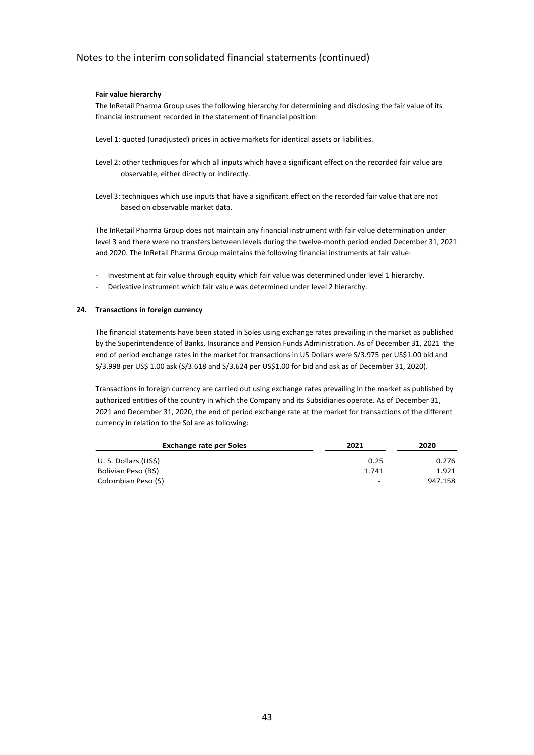### **Fair value hierarchy**

The InRetail Pharma Group uses the following hierarchy for determining and disclosing the fair value of its financial instrument recorded in the statement of financial position:

- Level 1: quoted (unadjusted) prices in active markets for identical assets or liabilities.
- Level 2: other techniques for which all inputs which have a significant effect on the recorded fair value are observable, either directly or indirectly.
- Level 3: techniques which use inputs that have a significant effect on the recorded fair value that are not based on observable market data.

The InRetail Pharma Group does not maintain any financial instrument with fair value determination under level 3 and there were no transfers between levels during the twelve-month period ended December 31, 2021 and 2020. The InRetail Pharma Group maintains the following financial instruments at fair value:

- Investment at fair value through equity which fair value was determined under level 1 hierarchy.
- Derivative instrument which fair value was determined under level 2 hierarchy.

#### **24. Transactions in foreign currency**

The financial statements have been stated in Soles using exchange rates prevailing in the market as published by the Superintendence of Banks, Insurance and Pension Funds Administration. As of December 31, 2021 the end of period exchange rates in the market for transactions in US Dollars were S/3.975 per US\$1.00 bid and S/3.998 per US\$ 1.00 ask (S/3.618 and S/3.624 per US\$1.00 for bid and ask as of December 31, 2020).

Transactions in foreign currency are carried out using exchange rates prevailing in the market as published by authorized entities of the country in which the Company and its Subsidiaries operate. As of December 31, 2021 and December 31, 2020, the end of period exchange rate at the market for transactions of the different currency in relation to the Sol are as following:

| <b>Exchange rate per Soles</b> | 2021                     | 2020    |  |
|--------------------------------|--------------------------|---------|--|
| U. S. Dollars (US\$)           | 0.25                     | 0.276   |  |
| Bolivian Peso (B\$)            | 1.741                    | 1.921   |  |
| Colombian Peso (\$)            | $\overline{\phantom{a}}$ | 947.158 |  |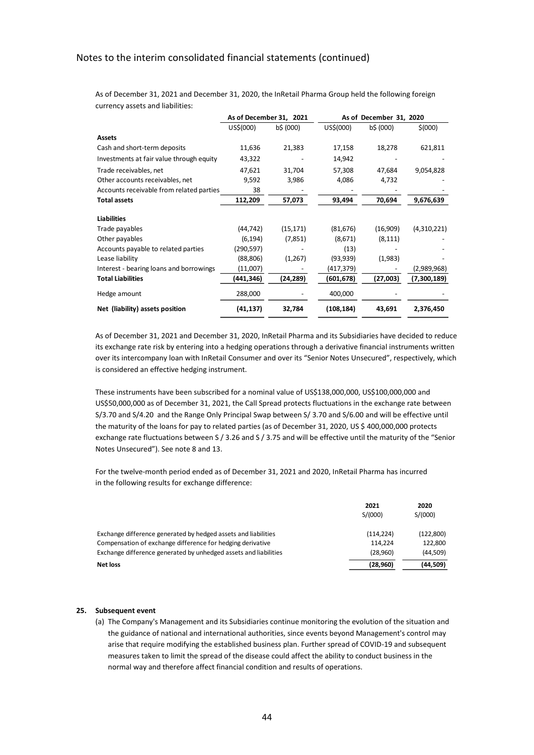|                                          | As of December 31, 2021 |           | As of December 31, 2020 |           |             |
|------------------------------------------|-------------------------|-----------|-------------------------|-----------|-------------|
|                                          | US\$(000)               | b\$ (000) | US\$(000)               | b\$ (000) | \$ (000)    |
| <b>Assets</b>                            |                         |           |                         |           |             |
| Cash and short-term deposits             | 11,636                  | 21,383    | 17,158                  | 18,278    | 621,811     |
| Investments at fair value through equity | 43,322                  |           | 14,942                  |           |             |
| Trade receivables, net                   | 47,621                  | 31,704    | 57,308                  | 47,684    | 9,054,828   |
| Other accounts receivables, net          | 9,592                   | 3,986     | 4,086                   | 4,732     |             |
| Accounts receivable from related parties | 38                      |           |                         |           |             |
| <b>Total assets</b>                      | 112,209                 | 57,073    | 93,494                  | 70,694    | 9,676,639   |
| <b>Liabilities</b>                       |                         |           |                         |           |             |
| Trade payables                           | (44, 742)               | (15, 171) | (81, 676)               | (16,909)  | (4,310,221) |
| Other payables                           | (6, 194)                | (7, 851)  | (8,671)                 | (8, 111)  |             |
| Accounts payable to related parties      | (290,597)               |           | (13)                    |           |             |
| Lease liability                          | (88, 806)               | (1,267)   | (93, 939)               | (1,983)   |             |
| Interest - bearing loans and borrowings  | (11,007)                |           | (417,379)               |           | (2,989,968) |
| <b>Total Liabilities</b>                 | (441,346)               | (24, 289) | (601,678)               | (27,003)  | (7,300,189) |
| Hedge amount                             | 288,000                 |           | 400,000                 |           |             |
| Net (liability) assets position          | (41, 137)               | 32,784    | (108, 184)              | 43,691    | 2,376,450   |

As of December 31, 2021 and December 31, 2020, the InRetail Pharma Group held the following foreign currency assets and liabilities:

As of December 31, 2021 and December 31, 2020, InRetail Pharma and its Subsidiaries have decided to reduce its exchange rate risk by entering into a hedging operations through a derivative financial instruments written over its intercompany loan with InRetail Consumer and over its "Senior Notes Unsecured", respectively, which is considered an effective hedging instrument.

These instruments have been subscribed for a nominal value of US\$138,000,000, US\$100,000,000 and US\$50,000,000 as of December 31, 2021, the Call Spread protects fluctuations in the exchange rate between S/3.70 and S/4.20 and the Range Only Principal Swap between S/ 3.70 and S/6.00 and will be effective until the maturity of the loans for pay to related parties (as of December 31, 2020, US \$ 400,000,000 protects exchange rate fluctuations between S / 3.26 and S / 3.75 and will be effective until the maturity of the "Senior Notes Unsecured"). See note 8 and 13.

For the twelve-month period ended as of December 31, 2021 and 2020, InRetail Pharma has incurred in the following results for exchange difference:

|                                                                  | 2021<br>S/(000) | 2020<br>S/(000) |
|------------------------------------------------------------------|-----------------|-----------------|
| Exchange difference generated by hedged assets and liabilities   | (114, 224)      | (122,800)       |
| Compensation of exchange difference for hedging derivative       | 114.224         | 122.800         |
| Exchange difference generated by unhedged assets and liabilities | (28,960)        | (44,509)        |
| Net loss                                                         | (28, 960)       | (44, 509)       |

#### **25. Subsequent event**

(a) The Company's Management and its Subsidiaries continue monitoring the evolution of the situation and the guidance of national and international authorities, since events beyond Management's control may arise that require modifying the established business plan. Further spread of COVID-19 and subsequent measures taken to limit the spread of the disease could affect the ability to conduct business in the normal way and therefore affect financial condition and results of operations.